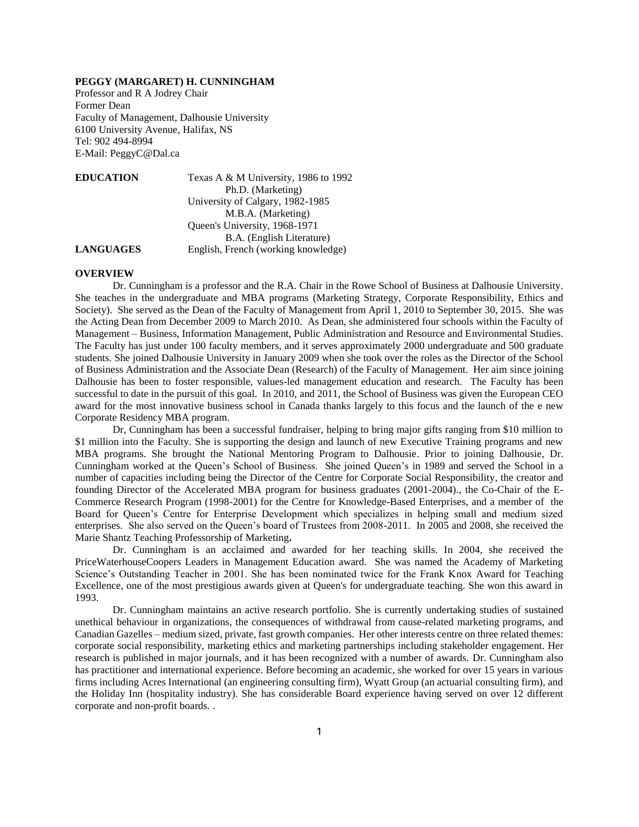## **PEGGY (MARGARET) H. CUNNINGHAM**

Professor and R A Jodrey Chair Former Dean Faculty of Management, Dalhousie University 6100 University Avenue, Halifax, NS Tel: 902 494-8994 E-Mail: PeggyC@Dal.ca

| <b>EDUCATION</b> | Texas A & M University, 1986 to 1992 |
|------------------|--------------------------------------|
|                  | Ph.D. (Marketing)                    |
|                  | University of Calgary, 1982-1985     |
|                  | M.B.A. (Marketing)                   |
|                  | Queen's University, 1968-1971        |
|                  | B.A. (English Literature)            |
| <b>LANGUAGES</b> | English, French (working knowledge)  |

#### **OVERVIEW**

Dr. Cunningham is a professor and the R.A. Chair in the Rowe School of Business at Dalhousie University. She teaches in the undergraduate and MBA programs (Marketing Strategy, Corporate Responsibility, Ethics and Society). She served as the Dean of the Faculty of Management from April 1, 2010 to September 30, 2015. She was the Acting Dean from December 2009 to March 2010. As Dean, she administered four schools within the Faculty of Management – Business, Information Management, Public Administration and Resource and Environmental Studies. The Faculty has just under 100 faculty members, and it serves approximately 2000 undergraduate and 500 graduate students. She joined Dalhousie University in January 2009 when she took over the roles as the Director of the School of Business Administration and the Associate Dean (Research) of the Faculty of Management. Her aim since joining Dalhousie has been to foster responsible, values-led management education and research. The Faculty has been successful to date in the pursuit of this goal. In 2010, and 2011, the School of Business was given the European CEO award for the most innovative business school in Canada thanks largely to this focus and the launch of the e new Corporate Residency MBA program.

Dr, Cunningham has been a successful fundraiser, helping to bring major gifts ranging from \$10 million to \$1 million into the Faculty. She is supporting the design and launch of new Executive Training programs and new MBA programs. She brought the National Mentoring Program to Dalhousie. Prior to joining Dalhousie, Dr. Cunningham worked at the Queen's School of Business. She joined Queen's in 1989 and served the School in a number of capacities including being the Director of the Centre for Corporate Social Responsibility, the creator and founding Director of the Accelerated MBA program for business graduates (2001-2004)., the Co-Chair of the E-Commerce Research Program (1998-2001) for the Centre for Knowledge-Based Enterprises, and a member of the Board for Queen's Centre for Enterprise Development which specializes in helping small and medium sized enterprises. She also served on the Queen's board of Trustees from 2008-2011. In 2005 and 2008, she received the Marie Shantz Teaching Professorship of Marketing**.**

Dr. Cunningham is an acclaimed and awarded for her teaching skills. In 2004, she received the PriceWaterhouseCoopers Leaders in Management Education award. She was named the Academy of Marketing Science's Outstanding Teacher in 2001. She has been nominated twice for the Frank Knox Award for Teaching Excellence, one of the most prestigious awards given at Queen's for undergraduate teaching. She won this award in 1993.

Dr. Cunningham maintains an active research portfolio. She is currently undertaking studies of sustained unethical behaviour in organizations, the consequences of withdrawal from cause-related marketing programs, and Canadian Gazelles – medium sized, private, fast growth companies. Her other interests centre on three related themes: corporate social responsibility, marketing ethics and marketing partnerships including stakeholder engagement. Her research is published in major journals, and it has been recognized with a number of awards. Dr. Cunningham also has practitioner and international experience. Before becoming an academic, she worked for over 15 years in various firms including Acres International (an engineering consulting firm), Wyatt Group (an actuarial consulting firm), and the Holiday Inn (hospitality industry). She has considerable Board experience having served on over 12 different corporate and non-profit boards. .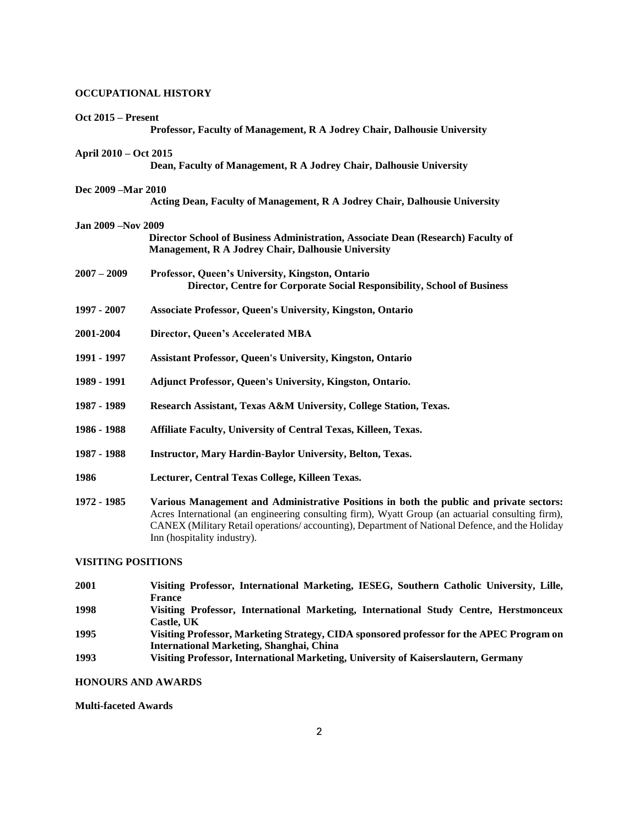# **OCCUPATIONAL HISTORY**

| <b>Oct 2015 – Present</b>  | Professor, Faculty of Management, R A Jodrey Chair, Dalhousie University                                                                                                                                                                                                                                                      |
|----------------------------|-------------------------------------------------------------------------------------------------------------------------------------------------------------------------------------------------------------------------------------------------------------------------------------------------------------------------------|
| April 2010 – Oct 2015      | Dean, Faculty of Management, R A Jodrey Chair, Dalhousie University                                                                                                                                                                                                                                                           |
| Dec 2009 - Mar 2010        | Acting Dean, Faculty of Management, R A Jodrey Chair, Dalhousie University                                                                                                                                                                                                                                                    |
| <b>Jan 2009 – Nov 2009</b> |                                                                                                                                                                                                                                                                                                                               |
|                            | Director School of Business Administration, Associate Dean (Research) Faculty of<br>Management, R A Jodrey Chair, Dalhousie University                                                                                                                                                                                        |
| $2007 - 2009$              | Professor, Queen's University, Kingston, Ontario<br>Director, Centre for Corporate Social Responsibility, School of Business                                                                                                                                                                                                  |
| 1997 - 2007                | <b>Associate Professor, Queen's University, Kingston, Ontario</b>                                                                                                                                                                                                                                                             |
| 2001-2004                  | Director, Queen's Accelerated MBA                                                                                                                                                                                                                                                                                             |
| 1991 - 1997                | <b>Assistant Professor, Queen's University, Kingston, Ontario</b>                                                                                                                                                                                                                                                             |
| 1989 - 1991                | Adjunct Professor, Queen's University, Kingston, Ontario.                                                                                                                                                                                                                                                                     |
| 1987 - 1989                | Research Assistant, Texas A&M University, College Station, Texas.                                                                                                                                                                                                                                                             |
| 1986 - 1988                | Affiliate Faculty, University of Central Texas, Killeen, Texas.                                                                                                                                                                                                                                                               |
| 1987 - 1988                | <b>Instructor, Mary Hardin-Baylor University, Belton, Texas.</b>                                                                                                                                                                                                                                                              |
| 1986                       | Lecturer, Central Texas College, Killeen Texas.                                                                                                                                                                                                                                                                               |
| 1972 - 1985                | Various Management and Administrative Positions in both the public and private sectors:<br>Acres International (an engineering consulting firm), Wyatt Group (an actuarial consulting firm),<br>CANEX (Military Retail operations/accounting), Department of National Defence, and the Holiday<br>Inn (hospitality industry). |

# **VISITING POSITIONS**

| 2001 | Visiting Professor, International Marketing, IESEG, Southern Catholic University, Lille, |
|------|------------------------------------------------------------------------------------------|
|      | <b>France</b>                                                                            |
| 1998 | Visiting Professor, International Marketing, International Study Centre, Herstmonceux    |
|      | Castle. UK                                                                               |
| 1995 | Visiting Professor, Marketing Strategy, CIDA sponsored professor for the APEC Program on |
|      | International Marketing, Shanghai, China                                                 |
| 1993 | Visiting Professor, International Marketing, University of Kaiserslautern, Germany       |

# **HONOURS AND AWARDS**

# **Multi-faceted Awards**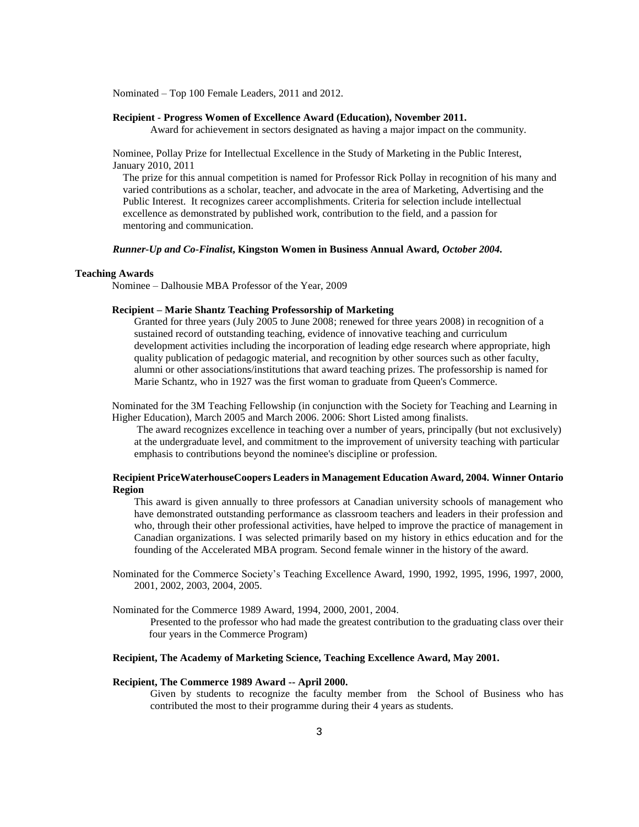Nominated – Top 100 Female Leaders, 2011 and 2012.

#### **Recipient - Progress Women of Excellence Award (Education), November 2011.**

Award for achievement in sectors designated as having a major impact on the community.

Nominee, Pollay Prize for Intellectual Excellence in the Study of Marketing in the Public Interest, January 2010, 2011

The prize for this annual competition is named for Professor Rick Pollay in recognition of his many and varied contributions as a scholar, teacher, and advocate in the area of Marketing, Advertising and the Public Interest. It recognizes career accomplishments. Criteria for selection include intellectual excellence as demonstrated by published work, contribution to the field, and a passion for mentoring and communication.

#### *Runner-Up and Co-Finalist***, Kingston Women in Business Annual Award***, October 2004.*

#### **Teaching Awards**

Nominee – Dalhousie MBA Professor of the Year, 2009

## **Recipient – Marie Shantz Teaching Professorship of Marketing**

Granted for three years (July 2005 to June 2008; renewed for three years 2008) in recognition of a sustained record of outstanding teaching, evidence of innovative teaching and curriculum development activities including the incorporation of leading edge research where appropriate, high quality publication of pedagogic material, and recognition by other sources such as other faculty, alumni or other associations/institutions that award teaching prizes. The professorship is named for Marie Schantz, who in 1927 was the first woman to graduate from Queen's Commerce.

Nominated for the 3M Teaching Fellowship (in conjunction with the Society for Teaching and Learning in Higher Education), March 2005 and March 2006. 2006: Short Listed among finalists.

The award recognizes excellence in teaching over a number of years, principally (but not exclusively) at the undergraduate level, and commitment to the improvement of university teaching with particular emphasis to contributions beyond the nominee's discipline or profession.

## **Recipient PriceWaterhouseCoopers Leaders in Management Education Award, 2004. Winner Ontario Region**

This award is given annually to three professors at Canadian university schools of management who have demonstrated outstanding performance as classroom teachers and leaders in their profession and who, through their other professional activities, have helped to improve the practice of management in Canadian organizations. I was selected primarily based on my history in ethics education and for the founding of the Accelerated MBA program. Second female winner in the history of the award.

Nominated for the Commerce Society's Teaching Excellence Award, 1990, 1992, 1995, 1996, 1997, 2000, 2001, 2002, 2003, 2004, 2005.

Nominated for the Commerce 1989 Award, 1994, 2000, 2001, 2004.

Presented to the professor who had made the greatest contribution to the graduating class over their four years in the Commerce Program)

### **Recipient, The Academy of Marketing Science, Teaching Excellence Award, May 2001.**

#### **Recipient, The Commerce 1989 Award -- April 2000.**

Given by students to recognize the faculty member from the School of Business who has contributed the most to their programme during their 4 years as students.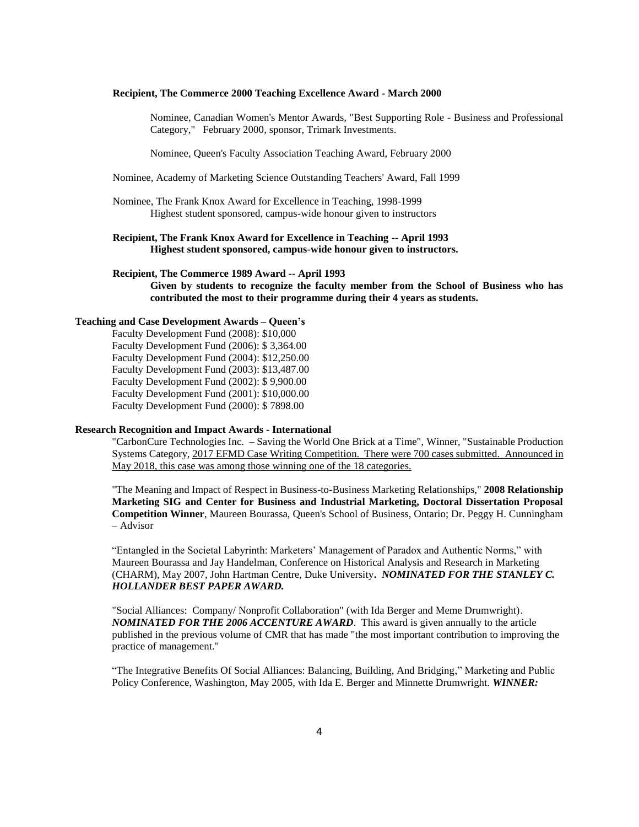#### **Recipient, The Commerce 2000 Teaching Excellence Award - March 2000**

Nominee, Canadian Women's Mentor Awards, "Best Supporting Role - Business and Professional Category," February 2000, sponsor, Trimark Investments.

Nominee, Queen's Faculty Association Teaching Award, February 2000

Nominee, Academy of Marketing Science Outstanding Teachers' Award, Fall 1999

Nominee, The Frank Knox Award for Excellence in Teaching, 1998-1999 Highest student sponsored, campus-wide honour given to instructors

## **Recipient, The Frank Knox Award for Excellence in Teaching -- April 1993 Highest student sponsored, campus-wide honour given to instructors.**

**Recipient, The Commerce 1989 Award -- April 1993 Given by students to recognize the faculty member from the School of Business who has contributed the most to their programme during their 4 years as students.**

## **Teaching and Case Development Awards – Queen's**

Faculty Development Fund (2008): \$10,000 Faculty Development Fund (2006): \$ 3,364.00 Faculty Development Fund (2004): \$12,250.00 Faculty Development Fund (2003): \$13,487.00 Faculty Development Fund (2002): \$ 9,900.00 Faculty Development Fund (2001): \$10,000.00 Faculty Development Fund (2000): \$ 7898.00

#### **Research Recognition and Impact Awards - International**

"CarbonCure Technologies Inc. – Saving the World One Brick at a Time", Winner, "Sustainable Production Systems Category, 2017 EFMD Case Writing Competition. There were 700 cases submitted. Announced in May 2018, this case was among those winning one of the 18 categories.

"The Meaning and Impact of Respect in Business-to-Business Marketing Relationships," **2008 Relationship Marketing SIG and Center for Business and Industrial Marketing, Doctoral Dissertation Proposal Competition Winner**, Maureen Bourassa, Queen's School of Business, Ontario; Dr. Peggy H. Cunningham – Advisor

"Entangled in the Societal Labyrinth: Marketers' Management of Paradox and Authentic Norms," with Maureen Bourassa and Jay Handelman, Conference on Historical Analysis and Research in Marketing (CHARM), May 2007, John Hartman Centre, Duke University**.** *NOMINATED FOR THE STANLEY C. HOLLANDER BEST PAPER AWARD.*

"Social Alliances: Company/ Nonprofit Collaboration" (with Ida Berger and Meme Drumwright). *NOMINATED FOR THE 2006 ACCENTURE AWARD*. This award is given annually to the article published in the previous volume of CMR that has made "the most important contribution to improving the practice of management."

"The Integrative Benefits Of Social Alliances: Balancing, Building, And Bridging," Marketing and Public Policy Conference, Washington, May 2005, with Ida E. Berger and Minnette Drumwright. *WINNER:*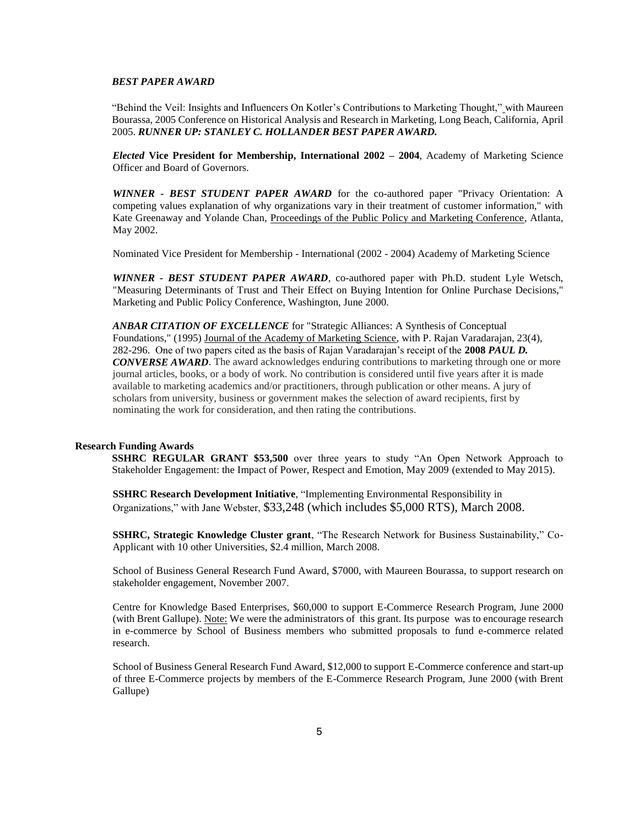## *BEST PAPER AWARD*

"Behind the Veil: Insights and Influencers On Kotler's Contributions to Marketing Thought," with Maureen Bourassa, 2005 Conference on Historical Analysis and Research in Marketing, Long Beach, California, April 2005. *RUNNER UP: STANLEY C. HOLLANDER BEST PAPER AWARD.*

*Elected* **Vice President for Membership, International 2002 – 2004**, Academy of Marketing Science Officer and Board of Governors.

*WINNER - BEST STUDENT PAPER AWARD* for the co-authored paper "Privacy Orientation: A competing values explanation of why organizations vary in their treatment of customer information," with Kate Greenaway and Yolande Chan, Proceedings of the Public Policy and Marketing Conference, Atlanta, May 2002.

Nominated Vice President for Membership - International (2002 - 2004) Academy of Marketing Science

*WINNER - BEST STUDENT PAPER AWARD*, co-authored paper with Ph.D. student Lyle Wetsch, "Measuring Determinants of Trust and Their Effect on Buying Intention for Online Purchase Decisions," Marketing and Public Policy Conference, Washington, June 2000.

*ANBAR CITATION OF EXCELLENCE* for "Strategic Alliances: A Synthesis of Conceptual Foundations," (1995) Journal of the Academy of Marketing Science, with P. Rajan Varadarajan, 23(4), 282-296. One of two papers cited as the basis of Rajan Varadarajan's receipt of the **2008** *PAUL D. CONVERSE AWARD*. The award acknowledges enduring contributions to marketing through one or more journal articles, books, or a body of work. No contribution is considered until five years after it is made available to marketing academics and/or practitioners, through publication or other means. A jury of scholars from university, business or government makes the selection of award recipients, first by nominating the work for consideration, and then rating the contributions.

#### **Research Funding Awards**

**SSHRC REGULAR GRANT \$53,500** over three years to study "An Open Network Approach to Stakeholder Engagement: the Impact of Power, Respect and Emotion, May 2009 (extended to May 2015).

**SSHRC Research Development Initiative**, "Implementing Environmental Responsibility in Organizations," with Jane Webster, \$33,248 (which includes \$5,000 RTS), March 2008.

**SSHRC, Strategic Knowledge Cluster grant**, "The Research Network for Business Sustainability," Co-Applicant with 10 other Universities, \$2.4 million, March 2008.

School of Business General Research Fund Award, \$7000, with Maureen Bourassa, to support research on stakeholder engagement, November 2007.

Centre for Knowledge Based Enterprises, \$60,000 to support E-Commerce Research Program, June 2000 (with Brent Gallupe). Note: We were the administrators of this grant. Its purpose was to encourage research in e-commerce by School of Business members who submitted proposals to fund e-commerce related research.

School of Business General Research Fund Award, \$12,000 to support E-Commerce conference and start-up of three E-Commerce projects by members of the E-Commerce Research Program, June 2000 (with Brent Gallupe)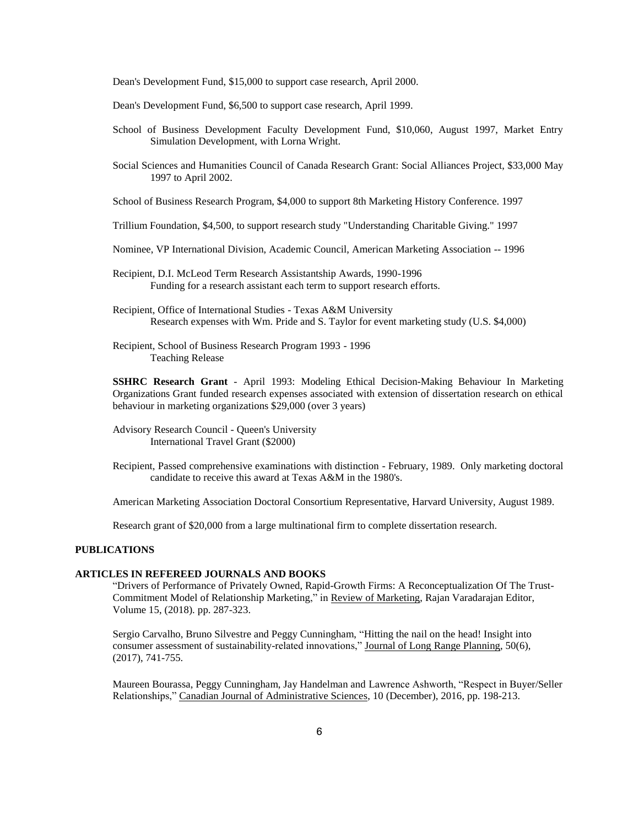Dean's Development Fund, \$15,000 to support case research, April 2000.

- Dean's Development Fund, \$6,500 to support case research, April 1999.
- School of Business Development Faculty Development Fund, \$10,060, August 1997, Market Entry Simulation Development, with Lorna Wright.
- Social Sciences and Humanities Council of Canada Research Grant: Social Alliances Project, \$33,000 May 1997 to April 2002.

School of Business Research Program, \$4,000 to support 8th Marketing History Conference. 1997

Trillium Foundation, \$4,500, to support research study "Understanding Charitable Giving." 1997

Nominee, VP International Division, Academic Council, American Marketing Association -- 1996

Recipient, D.I. McLeod Term Research Assistantship Awards, 1990-1996 Funding for a research assistant each term to support research efforts.

Recipient, Office of International Studies - Texas A&M University Research expenses with Wm. Pride and S. Taylor for event marketing study (U.S. \$4,000)

Recipient, School of Business Research Program 1993 - 1996 Teaching Release

**SSHRC Research Grant** - April 1993: Modeling Ethical Decision-Making Behaviour In Marketing Organizations Grant funded research expenses associated with extension of dissertation research on ethical behaviour in marketing organizations \$29,000 (over 3 years)

Advisory Research Council - Queen's University International Travel Grant (\$2000)

Recipient, Passed comprehensive examinations with distinction - February, 1989. Only marketing doctoral candidate to receive this award at Texas A&M in the 1980's.

American Marketing Association Doctoral Consortium Representative, Harvard University, August 1989.

Research grant of \$20,000 from a large multinational firm to complete dissertation research.

### **PUBLICATIONS**

### **ARTICLES IN REFEREED JOURNALS AND BOOKS**

"Drivers of Performance of Privately Owned, Rapid-Growth Firms: A Reconceptualization Of The Trust-Commitment Model of Relationship Marketing," in Review of Marketing, Rajan Varadarajan Editor, Volume 15, (2018). pp. 287-323.

Sergio Carvalho, Bruno Silvestre and Peggy Cunningham, "Hitting the nail on the head! Insight into consumer assessment of sustainability-related innovations," Journal of Long Range Planning, 50(6), (2017), 741-755.

Maureen Bourassa, Peggy Cunningham, Jay Handelman and Lawrence Ashworth, "Respect in Buyer/Seller Relationships," Canadian Journal of Administrative Sciences, 10 (December), 2016, pp. 198-213.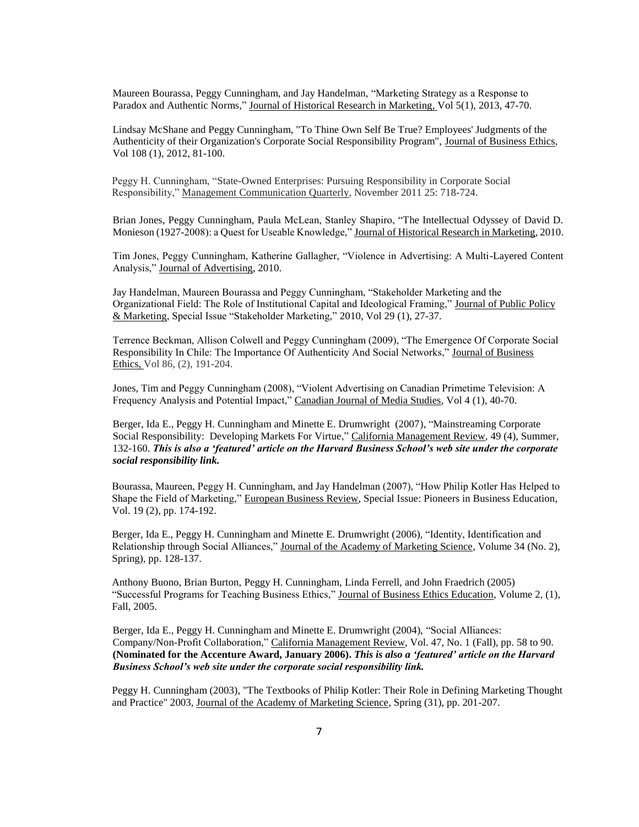Maureen Bourassa, Peggy Cunningham, and Jay Handelman, "Marketing Strategy as a Response to Paradox and Authentic Norms," Journal of Historical Research in Marketing, Vol 5(1), 2013, 47-70.

Lindsay McShane and Peggy Cunningham, "To Thine Own Self Be True? Employees' Judgments of the Authenticity of their Organization's Corporate Social Responsibility Program", Journal of Business Ethics, Vol 108 (1), 2012, 81-100.

Peggy H. Cunningham, "State-Owned Enterprises: Pursuing Responsibility in Corporate Social Responsibility," Management Communication Quarterly*,* November 2011 25: 718-724.

Brian Jones, Peggy Cunningham, Paula McLean, Stanley Shapiro, "The Intellectual Odyssey of David D. Monieson (1927-2008): a Quest for Useable Knowledge," Journal of Historical Research in Marketing, 2010.

Tim Jones, Peggy Cunningham, Katherine Gallagher, "Violence in Advertising: A Multi-Layered Content Analysis," Journal of Advertising, 2010.

Jay Handelman, Maureen Bourassa and Peggy Cunningham, "Stakeholder Marketing and the Organizational Field: The Role of Institutional Capital and Ideological Framing," Journal of Public Policy & Marketing, Special Issue "Stakeholder Marketing," 2010, Vol 29 (1), 27-37.

Terrence Beckman, Allison Colwell and Peggy Cunningham (2009), "The Emergence Of Corporate Social Responsibility In Chile: The Importance Of Authenticity And Social Networks," Journal of Business Ethics, Vol 86, (2), 191-204.

Jones, Tim and Peggy Cunningham (2008), "Violent Advertising on Canadian Primetime Television: A Frequency Analysis and Potential Impact," Canadian Journal of Media Studies, Vol 4 (1), 40-70.

Berger, Ida E., Peggy H. Cunningham and Minette E. Drumwright (2007), "Mainstreaming Corporate Social Responsibility: Developing Markets For Virtue," California Management Review, 49 (4), Summer, 132-160. *This is also a 'featured' article on the Harvard Business School's web site under the corporate social responsibility link.*

Bourassa, Maureen, Peggy H. Cunningham, and Jay Handelman (2007), "How Philip Kotler Has Helped to Shape the Field of Marketing," European Business Review, Special Issue: Pioneers in Business Education, Vol. 19 (2), pp. 174-192.

Berger, Ida E., Peggy H. Cunningham and Minette E. Drumwright (2006), "Identity, Identification and Relationship through Social Alliances," Journal of the Academy of Marketing Science, Volume 34 (No. 2), Spring), pp. 128-137.

Anthony Buono, Brian Burton, Peggy H. Cunningham, Linda Ferrell, and John Fraedrich (2005) "Successful Programs for Teaching Business Ethics," Journal of Business Ethics Education, Volume 2, (1), Fall, 2005.

Berger, Ida E., Peggy H. Cunningham and Minette E. Drumwright (2004), "Social Alliances: Company/Non-Profit Collaboration," California Management Review, Vol. 47, No. 1 (Fall), pp. 58 to 90. **(Nominated for the Accenture Award, January 2006).** *This is also a 'featured' article on the Harvard Business School's web site under the corporate social responsibility link.*

Peggy H. Cunningham (2003), "The Textbooks of Philip Kotler: Their Role in Defining Marketing Thought and Practice" 2003, Journal of the Academy of Marketing Science, Spring (31), pp. 201-207.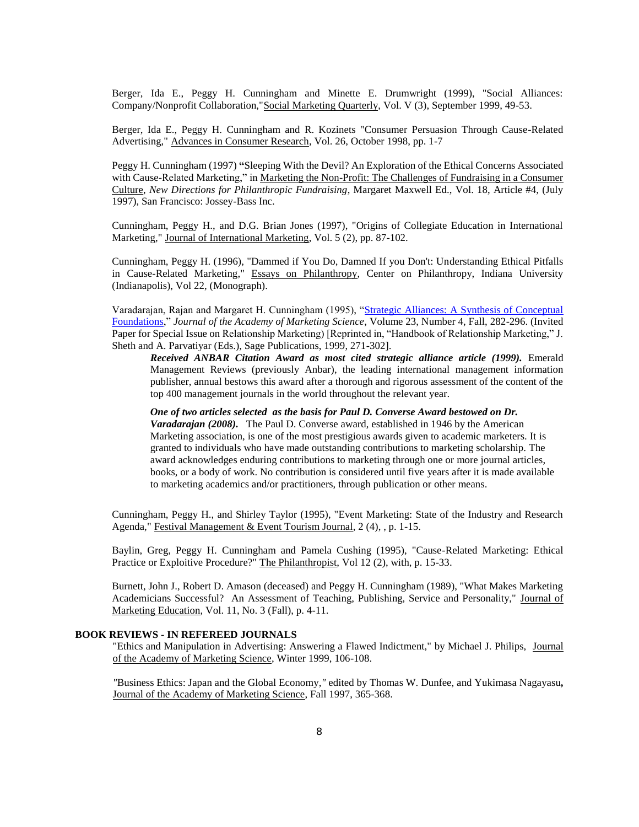Berger, Ida E., Peggy H. Cunningham and Minette E. Drumwright (1999), "Social Alliances: Company/Nonprofit Collaboration,"Social Marketing Quarterly, Vol. V (3), September 1999, 49-53.

Berger, Ida E., Peggy H. Cunningham and R. Kozinets "Consumer Persuasion Through Cause-Related Advertising," Advances in Consumer Research, Vol. 26, October 1998, pp. 1-7

Peggy H. Cunningham (1997) **"**Sleeping With the Devil? An Exploration of the Ethical Concerns Associated with Cause-Related Marketing," in Marketing the Non-Profit: The Challenges of Fundraising in a Consumer Culture, *New Directions for Philanthropic Fundraising*, Margaret Maxwell Ed., Vol. 18, Article #4, (July 1997), San Francisco: Jossey-Bass Inc.

Cunningham, Peggy H., and D.G. Brian Jones (1997), "Origins of Collegiate Education in International Marketing," Journal of International Marketing, Vol. 5 (2), pp. 87-102.

Cunningham, Peggy H. (1996), "Dammed if You Do, Damned If you Don't: Understanding Ethical Pitfalls in Cause-Related Marketing," Essays on Philanthropy, Center on Philanthropy, Indiana University (Indianapolis), Vol 22, (Monograph).

Varadarajan, Rajan and Margaret H. Cunningham (1995), ["Strategic Alliances: A Synthesis of Conceptual](http://wehner.tamu.edu/mktg/faculty/varadarajan/publications/Strategic%20alliances%20JAMS%201995.pdf)  [Foundations,](http://wehner.tamu.edu/mktg/faculty/varadarajan/publications/Strategic%20alliances%20JAMS%201995.pdf)" *Journal of the Academy of Marketing Science*, Volume 23, Number 4, Fall, 282-296. (Invited Paper for Special Issue on Relationship Marketing) [Reprinted in, "Handbook of Relationship Marketing," J. Sheth and A. Parvatiyar (Eds.), Sage Publications, 1999, 271-302].

*Received ANBAR Citation Award as most cited strategic alliance article (1999).* Emerald Management Reviews (previously Anbar), the leading international management information publisher, annual bestows this award after a thorough and rigorous assessment of the content of the top 400 management journals in the world throughout the relevant year.

*One of two articles selected as the basis for Paul D. Converse Award bestowed on Dr. Varadarajan (2008).* The Paul D. Converse award, established in 1946 by the American Marketing association, is one of the most prestigious awards given to academic marketers. It is granted to individuals who have made outstanding contributions to marketing scholarship. The award acknowledges enduring contributions to marketing through one or more journal articles, books, or a body of work. No contribution is considered until five years after it is made available to marketing academics and/or practitioners, through publication or other means.

Cunningham, Peggy H., and Shirley Taylor (1995), "Event Marketing: State of the Industry and Research Agenda," Festival Management & Event Tourism Journal, 2 (4), , p. 1-15.

Baylin, Greg, Peggy H. Cunningham and Pamela Cushing (1995), "Cause-Related Marketing: Ethical Practice or Exploitive Procedure?" The Philanthropist, Vol 12 (2), with, p. 15-33.

Burnett, John J., Robert D. Amason (deceased) and Peggy H. Cunningham (1989), "What Makes Marketing Academicians Successful? An Assessment of Teaching, Publishing, Service and Personality," Journal of Marketing Education, Vol. 11, No. 3 (Fall), p. 4-11.

## **BOOK REVIEWS - IN REFEREED JOURNALS**

"Ethics and Manipulation in Advertising: Answering a Flawed Indictment," by Michael J. Philips, Journal of the Academy of Marketing Science, Winter 1999, 106-108.

*"*Business Ethics: Japan and the Global Economy*,"* edited by Thomas W. Dunfee, and Yukimasa Nagayasu**,** Journal of the Academy of Marketing Science, Fall 1997, 365-368.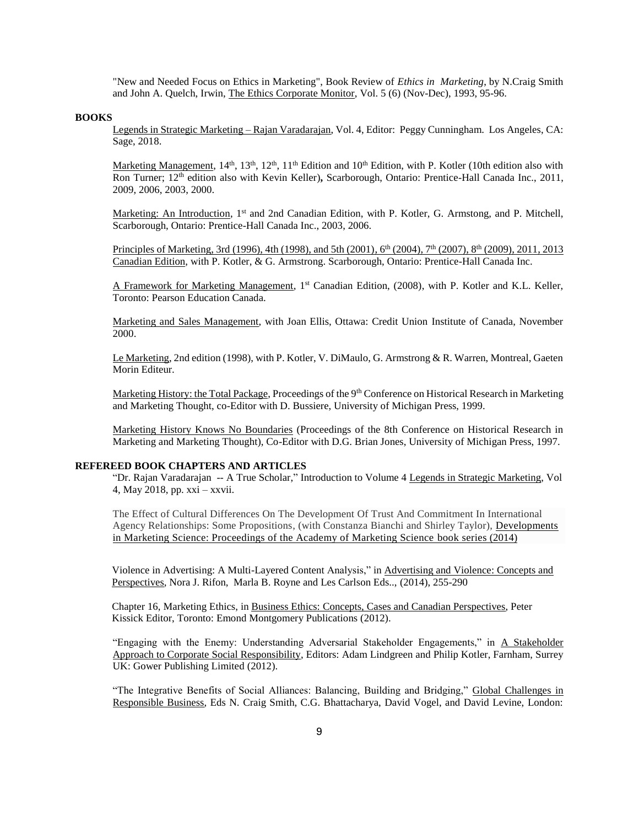"New and Needed Focus on Ethics in Marketing", Book Review of *Ethics in Marketing*, by N.Craig Smith and John A. Quelch, Irwin, The Ethics Corporate Monitor, Vol. 5 (6) (Nov-Dec), 1993, 95-96.

#### **BOOKS**

Legends in Strategic Marketing – Rajan Varadarajan, Vol. 4, Editor: Peggy Cunningham. Los Angeles, CA: Sage, 2018.

Marketing Management,  $14<sup>th</sup>$ ,  $13<sup>th</sup>$ ,  $12<sup>th</sup>$ ,  $11<sup>th</sup>$  Edition and  $10<sup>th</sup>$  Edition, with P. Kotler (10th edition also with Ron Turner; 12th edition also with Kevin Keller)**,** Scarborough, Ontario: Prentice-Hall Canada Inc., 2011, 2009, 2006, 2003, 2000.

Marketing: An Introduction, 1<sup>st</sup> and 2nd Canadian Edition, with P. Kotler, G. Armstong, and P. Mitchell, Scarborough, Ontario: Prentice-Hall Canada Inc., 2003, 2006.

Principles of Marketing, 3rd (1996), 4th (1998), and 5th (2001), 6<sup>th</sup> (2004), 7<sup>th</sup> (2007), 8<sup>th</sup> (2009), 2011, 2013 Canadian Edition, with P. Kotler, & G. Armstrong. Scarborough, Ontario: Prentice-Hall Canada Inc.

A Framework for Marketing Management, 1<sup>st</sup> Canadian Edition, (2008), with P. Kotler and K.L. Keller, Toronto: Pearson Education Canada.

Marketing and Sales Management, with Joan Ellis, Ottawa: Credit Union Institute of Canada, November 2000.

Le Marketing, 2nd edition (1998), with P. Kotler, V. DiMaulo, G. Armstrong & R. Warren, Montreal, Gaeten Morin Editeur.

Marketing History: the Total Package, Proceedings of the 9<sup>th</sup> Conference on Historical Research in Marketing and Marketing Thought, co-Editor with D. Bussiere, University of Michigan Press, 1999.

Marketing History Knows No Boundaries (Proceedings of the 8th Conference on Historical Research in Marketing and Marketing Thought), Co-Editor with D.G. Brian Jones, University of Michigan Press, 1997.

### **REFEREED BOOK CHAPTERS AND ARTICLES**

"Dr. Rajan Varadarajan -- A True Scholar," Introduction to Volume 4 Legends in Strategic Marketing, Vol 4, May 2018, pp. xxi – xxvii.

The Effect of Cultural Differences On The Development Of Trust And Commitment In International Agency Relationships: Some Propositions, (with Constanza Bianchi and Shirley Taylor), [Developments](https://link.springer.com/bookseries/13409)  [in Marketing Science: Proceedings of the Academy of Marketing Science](https://link.springer.com/bookseries/13409) book series (2014)

Violence in Advertising: A Multi-Layered Content Analysis," in Advertising and Violence: Concepts and Perspectives, Nora J. Rifon, Marla B. Royne and Les Carlson Eds.., (2014), 255-290

Chapter 16, Marketing Ethics, in Business Ethics: Concepts, Cases and Canadian Perspectives, Peter Kissick Editor, Toronto: Emond Montgomery Publications (2012).

"Engaging with the Enemy: Understanding Adversarial Stakeholder Engagements," in A Stakeholder Approach to Corporate Social Responsibility, Editors: Adam Lindgreen and Philip Kotler, Farnham, Surrey UK: Gower Publishing Limited (2012).

"The Integrative Benefits of Social Alliances: Balancing, Building and Bridging," Global Challenges in Responsible Business, Eds N. Craig Smith, C.G. Bhattacharya, David Vogel, and David Levine, London: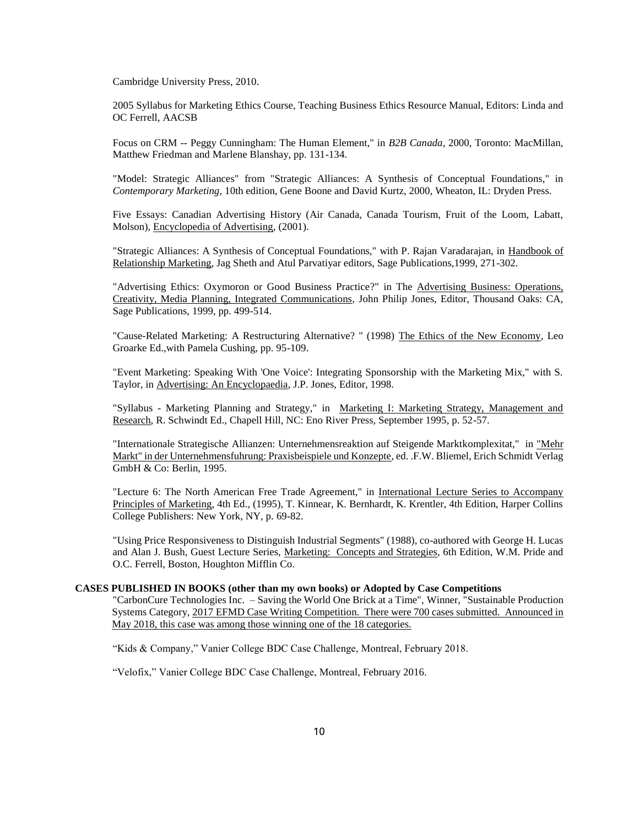Cambridge University Press, 2010.

2005 Syllabus for Marketing Ethics Course, Teaching Business Ethics Resource Manual, Editors: Linda and OC Ferrell, AACSB

Focus on CRM -- Peggy Cunningham: The Human Element," in *B2B Canada*, 2000, Toronto: MacMillan, Matthew Friedman and Marlene Blanshay, pp. 131-134.

"Model: Strategic Alliances" from "Strategic Alliances: A Synthesis of Conceptual Foundations," in *Contemporary Marketing*, 10th edition, Gene Boone and David Kurtz, 2000, Wheaton, IL: Dryden Press.

Five Essays: Canadian Advertising History (Air Canada, Canada Tourism, Fruit of the Loom, Labatt, Molson), Encyclopedia of Advertising, (2001).

"Strategic Alliances: A Synthesis of Conceptual Foundations," with P. Rajan Varadarajan, in Handbook of Relationship Marketing, Jag Sheth and Atul Parvatiyar editors, Sage Publications,1999, 271-302.

"Advertising Ethics: Oxymoron or Good Business Practice?" in The Advertising Business: Operations, Creativity, Media Planning, Integrated Communications, John Philip Jones, Editor, Thousand Oaks: CA, Sage Publications, 1999, pp. 499-514.

"Cause-Related Marketing: A Restructuring Alternative? " (1998) The Ethics of the New Economy, Leo Groarke Ed.,with Pamela Cushing, pp. 95-109.

"Event Marketing: Speaking With 'One Voice': Integrating Sponsorship with the Marketing Mix," with S. Taylor, in Advertising: An Encyclopaedia, J.P. Jones, Editor, 1998.

"Syllabus - Marketing Planning and Strategy," in Marketing I: Marketing Strategy, Management and Research, R. Schwindt Ed., Chapell Hill, NC: Eno River Press, September 1995, p. 52-57.

"Internationale Strategische Allianzen: Unternehmensreaktion auf Steigende Marktkomplexitat," in "Mehr Markt" in der Unternehmensfuhrung: Praxisbeispiele und Konzepte, ed. .F.W. Bliemel, Erich Schmidt Verlag GmbH & Co: Berlin, 1995.

"Lecture 6: The North American Free Trade Agreement," in International Lecture Series to Accompany Principles of Marketing, 4th Ed., (1995), T. Kinnear, K. Bernhardt, K. Krentler, 4th Edition, Harper Collins College Publishers: New York, NY, p. 69-82.

"Using Price Responsiveness to Distinguish Industrial Segments" (1988), co-authored with George H. Lucas and Alan J. Bush, Guest Lecture Series, Marketing: Concepts and Strategies, 6th Edition, W.M. Pride and O.C. Ferrell, Boston, Houghton Mifflin Co.

#### **CASES PUBLISHED IN BOOKS (other than my own books) or Adopted by Case Competitions**

"CarbonCure Technologies Inc. – Saving the World One Brick at a Time", Winner, "Sustainable Production Systems Category, 2017 EFMD Case Writing Competition. There were 700 cases submitted. Announced in May 2018, this case was among those winning one of the 18 categories.

"Kids & Company," Vanier College BDC Case Challenge, Montreal, February 2018.

"Velofix," Vanier College BDC Case Challenge, Montreal, February 2016.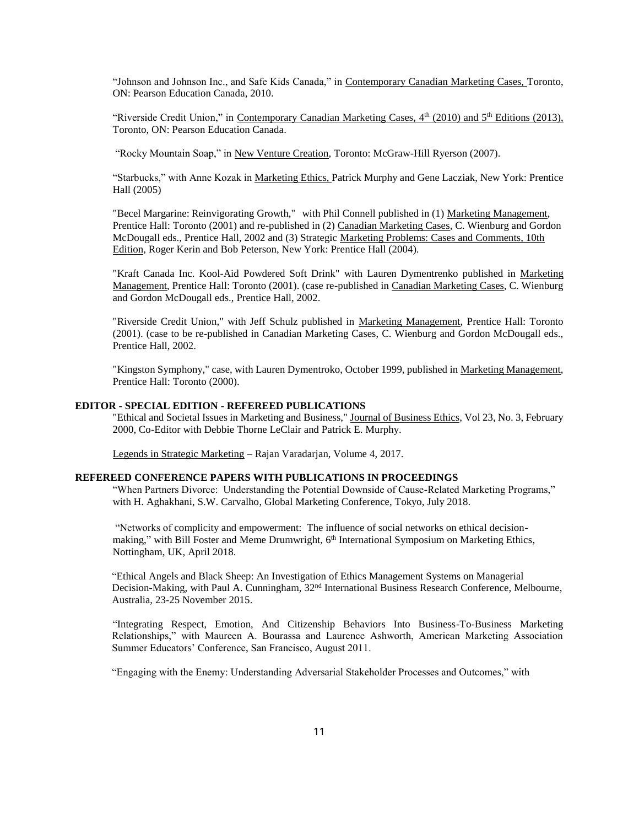"Johnson and Johnson Inc., and Safe Kids Canada," in Contemporary Canadian Marketing Cases, Toronto, ON: Pearson Education Canada, 2010.

"Riverside Credit Union," in Contemporary Canadian Marketing Cases, 4<sup>th</sup> (2010) and 5<sup>th</sup> Editions (2013), Toronto, ON: Pearson Education Canada.

"Rocky Mountain Soap," in New Venture Creation, Toronto: McGraw-Hill Ryerson (2007).

"Starbucks," with Anne Kozak in Marketing Ethics, Patrick Murphy and Gene Lacziak, New York: Prentice Hall (2005)

"Becel Margarine: Reinvigorating Growth," with Phil Connell published in (1) Marketing Management, Prentice Hall: Toronto (2001) and re-published in (2) Canadian Marketing Cases, C. Wienburg and Gordon McDougall eds., Prentice Hall, 2002 and (3) Strategic Marketing Problems: Cases and Comments, 10th Edition, Roger Kerin and Bob Peterson, New York: Prentice Hall (2004).

"Kraft Canada Inc. Kool-Aid Powdered Soft Drink" with Lauren Dymentrenko published in Marketing Management, Prentice Hall: Toronto (2001). (case re-published in Canadian Marketing Cases, C. Wienburg and Gordon McDougall eds., Prentice Hall, 2002.

"Riverside Credit Union," with Jeff Schulz published in Marketing Management, Prentice Hall: Toronto (2001). (case to be re-published in Canadian Marketing Cases, C. Wienburg and Gordon McDougall eds., Prentice Hall, 2002.

"Kingston Symphony," case, with Lauren Dymentroko, October 1999, published in Marketing Management, Prentice Hall: Toronto (2000).

#### **EDITOR - SPECIAL EDITION - REFEREED PUBLICATIONS**

"Ethical and Societal Issues in Marketing and Business," Journal of Business Ethics, Vol 23, No. 3, February 2000, Co-Editor with Debbie Thorne LeClair and Patrick E. Murphy.

Legends in Strategic Marketing – Rajan Varadarjan, Volume 4, 2017.

## **REFEREED CONFERENCE PAPERS WITH PUBLICATIONS IN PROCEEDINGS**

"When Partners Divorce: Understanding the Potential Downside of Cause-Related Marketing Programs," with H. Aghakhani, S.W. Carvalho, Global Marketing Conference, Tokyo, July 2018.

"Networks of complicity and empowerment: The influence of social networks on ethical decisionmaking," with Bill Foster and Meme Drumwright, 6<sup>th</sup> International Symposium on Marketing Ethics, Nottingham, UK, April 2018.

"Ethical Angels and Black Sheep: An Investigation of Ethics Management Systems on Managerial Decision-Making, with Paul A. Cunningham, 32<sup>nd</sup> International Business Research Conference, Melbourne, Australia, 23-25 November 2015.

"Integrating Respect, Emotion, And Citizenship Behaviors Into Business-To-Business Marketing Relationships," with Maureen A. Bourassa and Laurence Ashworth, American Marketing Association Summer Educators' Conference, San Francisco, August 2011.

"Engaging with the Enemy: Understanding Adversarial Stakeholder Processes and Outcomes," with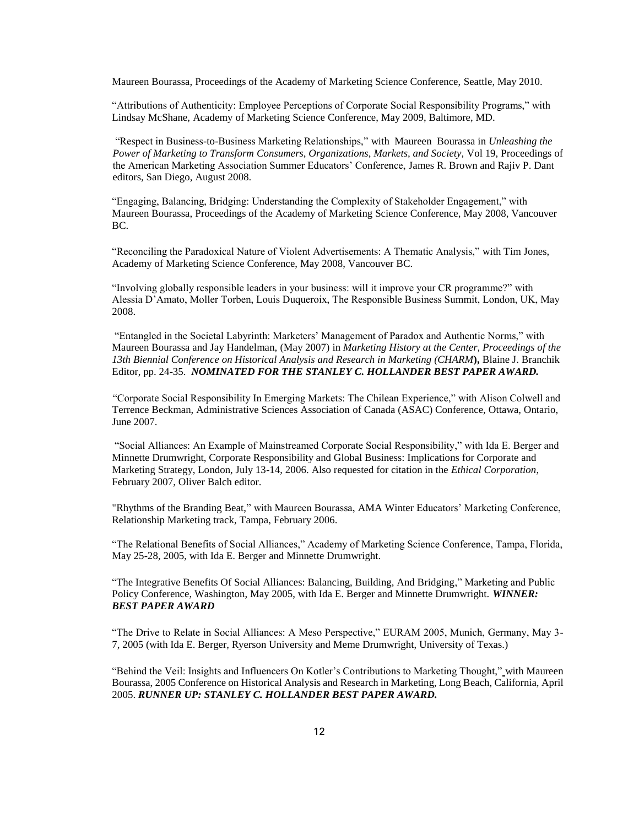Maureen Bourassa, Proceedings of the Academy of Marketing Science Conference, Seattle, May 2010.

"Attributions of Authenticity: Employee Perceptions of Corporate Social Responsibility Programs," with Lindsay McShane, Academy of Marketing Science Conference, May 2009, Baltimore, MD.

"Respect in Business-to-Business Marketing Relationships," with Maureen Bourassa in *Unleashing the Power of Marketing to Transform Consumers, Organizations, Markets, and Society,* Vol 19, Proceedings of the American Marketing Association Summer Educators' Conference, James R. Brown and Rajiv P. Dant editors, San Diego, August 2008*.*

"Engaging, Balancing, Bridging: Understanding the Complexity of Stakeholder Engagement," with Maureen Bourassa, Proceedings of the Academy of Marketing Science Conference, May 2008, Vancouver BC.

"Reconciling the Paradoxical Nature of Violent Advertisements: A Thematic Analysis," with Tim Jones, Academy of Marketing Science Conference, May 2008, Vancouver BC.

"Involving globally responsible leaders in your business: will it improve your CR programme?" with Alessia D'Amato, Moller Torben, Louis Duqueroix, The Responsible Business Summit, London, UK, May 2008.

"Entangled in the Societal Labyrinth: Marketers' Management of Paradox and Authentic Norms," with Maureen Bourassa and Jay Handelman, (May 2007) in *Marketing History at the Center, Proceedings of the 13th Biennial Conference on Historical Analysis and Research in Marketing (CHARM***),** Blaine J. Branchik Editor, pp. 24-35. *NOMINATED FOR THE STANLEY C. HOLLANDER BEST PAPER AWARD.*

"Corporate Social Responsibility In Emerging Markets: The Chilean Experience," with Alison Colwell and Terrence Beckman, Administrative Sciences Association of Canada (ASAC) Conference, Ottawa, Ontario, June 2007.

"Social Alliances: An Example of Mainstreamed Corporate Social Responsibility," with Ida E. Berger and Minnette Drumwright, Corporate Responsibility and Global Business: Implications for Corporate and Marketing Strategy, London, July 13-14, 2006. Also requested for citation in the *Ethical Corporation*, February 2007, Oliver Balch editor.

"Rhythms of the Branding Beat," with Maureen Bourassa, AMA Winter Educators' Marketing Conference, Relationship Marketing track, Tampa, February 2006.

"The Relational Benefits of Social Alliances," Academy of Marketing Science Conference, Tampa, Florida, May 25-28, 2005, with Ida E. Berger and Minnette Drumwright.

"The Integrative Benefits Of Social Alliances: Balancing, Building, And Bridging," Marketing and Public Policy Conference, Washington, May 2005, with Ida E. Berger and Minnette Drumwright. *WINNER: BEST PAPER AWARD*

"The Drive to Relate in Social Alliances: A Meso Perspective," EURAM 2005, Munich, Germany, May 3- 7, 2005 (with Ida E. Berger, Ryerson University and Meme Drumwright, University of Texas.)

"Behind the Veil: Insights and Influencers On Kotler's Contributions to Marketing Thought," with Maureen Bourassa, 2005 Conference on Historical Analysis and Research in Marketing, Long Beach, California, April 2005. *RUNNER UP: STANLEY C. HOLLANDER BEST PAPER AWARD.*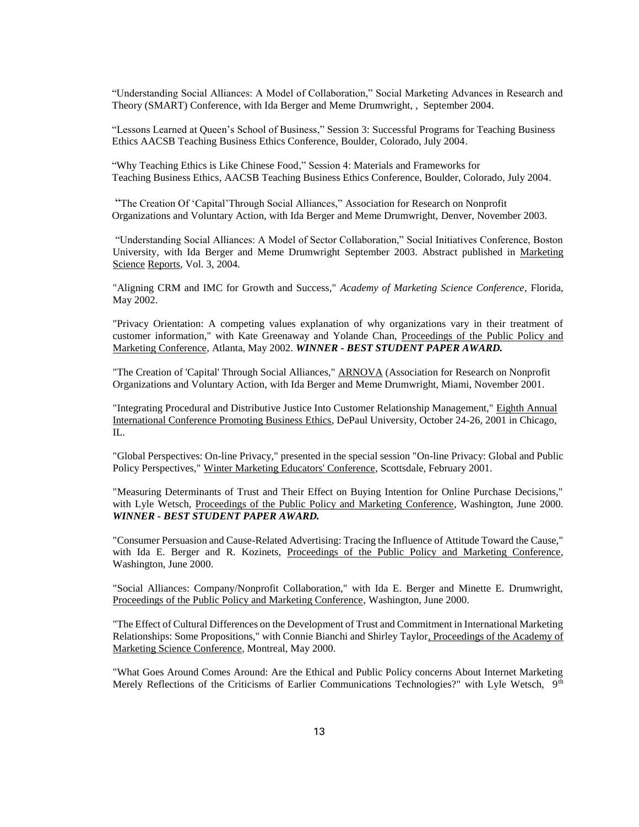"Understanding Social Alliances: A Model of Collaboration," Social Marketing Advances in Research and Theory (SMART) Conference, with Ida Berger and Meme Drumwright, , September 2004.

"Lessons Learned at Queen's School of Business," Session 3: Successful Programs for Teaching Business Ethics AACSB Teaching Business Ethics Conference, Boulder, Colorado, July 2004.

"Why Teaching Ethics is Like Chinese Food," Session 4: Materials and Frameworks for Teaching Business Ethics, AACSB Teaching Business Ethics Conference, Boulder, Colorado, July 2004.

"The Creation Of 'Capital'Through Social Alliances," Association for Research on Nonprofit Organizations and Voluntary Action, with Ida Berger and Meme Drumwright, Denver, November 2003.

"Understanding Social Alliances: A Model of Sector Collaboration," Social Initiatives Conference, Boston University, with Ida Berger and Meme Drumwright September 2003. Abstract published in Marketing Science Reports, Vol. 3, 2004.

"Aligning CRM and IMC for Growth and Success," *Academy of Marketing Science Conference*, Florida, May 2002.

"Privacy Orientation: A competing values explanation of why organizations vary in their treatment of customer information," with Kate Greenaway and Yolande Chan, Proceedings of the Public Policy and Marketing Conference, Atlanta, May 2002. *WINNER - BEST STUDENT PAPER AWARD.*

"The Creation of 'Capital' Through Social Alliances," ARNOVA (Association for Research on Nonprofit Organizations and Voluntary Action, with Ida Berger and Meme Drumwright, Miami, November 2001.

"Integrating Procedural and Distributive Justice Into Customer Relationship Management," Eighth Annual International Conference Promoting Business Ethics, DePaul University, October 24-26, 2001 in Chicago, IL.

"Global Perspectives: On-line Privacy," presented in the special session "On-line Privacy: Global and Public Policy Perspectives," Winter Marketing Educators' Conference, Scottsdale, February 2001.

"Measuring Determinants of Trust and Their Effect on Buying Intention for Online Purchase Decisions," with Lyle Wetsch, Proceedings of the Public Policy and Marketing Conference, Washington, June 2000. *WINNER - BEST STUDENT PAPER AWARD.*

"Consumer Persuasion and Cause-Related Advertising: Tracing the Influence of Attitude Toward the Cause," with Ida E. Berger and R. Kozinets, Proceedings of the Public Policy and Marketing Conference, Washington, June 2000.

"Social Alliances: Company/Nonprofit Collaboration," with Ida E. Berger and Minette E. Drumwright, Proceedings of the Public Policy and Marketing Conference, Washington, June 2000.

"The Effect of Cultural Differences on the Development of Trust and Commitment in International Marketing Relationships: Some Propositions," with Connie Bianchi and Shirley Taylor, Proceedings of the Academy of Marketing Science Conference, Montreal, May 2000.

"What Goes Around Comes Around: Are the Ethical and Public Policy concerns About Internet Marketing Merely Reflections of the Criticisms of Earlier Communications Technologies?" with Lyle Wetsch, 9<sup>th</sup>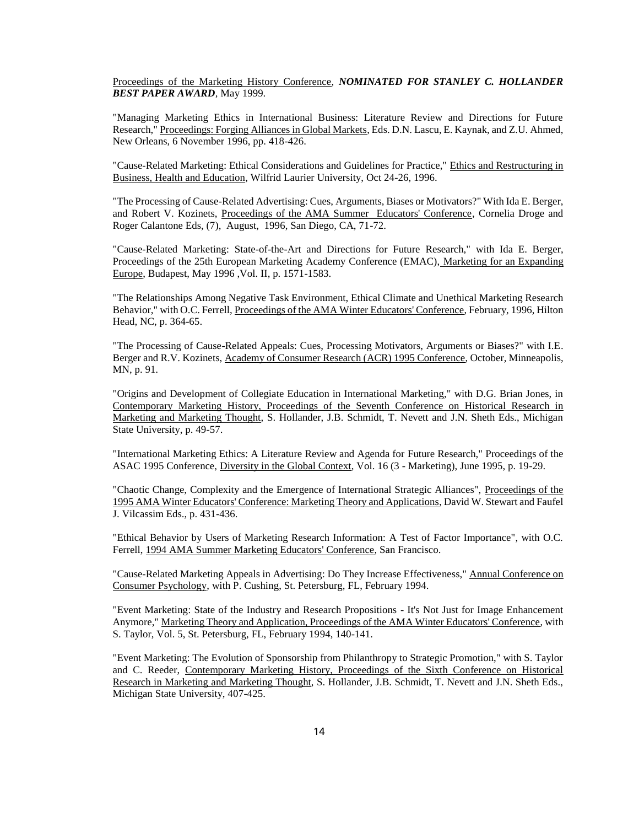Proceedings of the Marketing History Conference, *NOMINATED FOR STANLEY C. HOLLANDER BEST PAPER AWARD,* May 1999.

"Managing Marketing Ethics in International Business: Literature Review and Directions for Future Research," Proceedings: Forging Alliances in Global Markets, Eds. D.N. Lascu, E. Kaynak, and Z.U. Ahmed, New Orleans, 6 November 1996, pp. 418-426.

"Cause-Related Marketing: Ethical Considerations and Guidelines for Practice," Ethics and Restructuring in Business, Health and Education, Wilfrid Laurier University, Oct 24-26, 1996.

"The Processing of Cause-Related Advertising: Cues, Arguments, Biases or Motivators?" With Ida E. Berger, and Robert V. Kozinets, Proceedings of the AMA Summer Educators' Conference, Cornelia Droge and Roger Calantone Eds, (7), August, 1996, San Diego, CA, 71-72.

"Cause-Related Marketing: State-of-the-Art and Directions for Future Research," with Ida E. Berger, Proceedings of the 25th European Marketing Academy Conference (EMAC), Marketing for an Expanding Europe, Budapest, May 1996 ,Vol. II, p. 1571-1583.

"The Relationships Among Negative Task Environment, Ethical Climate and Unethical Marketing Research Behavior," with O.C. Ferrell, Proceedings of the AMA Winter Educators' Conference, February, 1996, Hilton Head, NC, p. 364-65.

"The Processing of Cause-Related Appeals: Cues, Processing Motivators, Arguments or Biases?" with I.E. Berger and R.V. Kozinets, Academy of Consumer Research (ACR) 1995 Conference, October, Minneapolis, MN, p. 91.

"Origins and Development of Collegiate Education in International Marketing," with D.G. Brian Jones, in Contemporary Marketing History, Proceedings of the Seventh Conference on Historical Research in Marketing and Marketing Thought, S. Hollander, J.B. Schmidt, T. Nevett and J.N. Sheth Eds., Michigan State University, p. 49-57.

"International Marketing Ethics: A Literature Review and Agenda for Future Research," Proceedings of the ASAC 1995 Conference, Diversity in the Global Context, Vol. 16 (3 - Marketing), June 1995, p. 19-29.

"Chaotic Change, Complexity and the Emergence of International Strategic Alliances", Proceedings of the 1995 AMA Winter Educators' Conference: Marketing Theory and Applications, David W. Stewart and Faufel J. Vilcassim Eds., p. 431-436.

"Ethical Behavior by Users of Marketing Research Information: A Test of Factor Importance", with O.C. Ferrell, 1994 AMA Summer Marketing Educators' Conference, San Francisco.

"Cause-Related Marketing Appeals in Advertising: Do They Increase Effectiveness," Annual Conference on Consumer Psychology, with P. Cushing, St. Petersburg, FL, February 1994.

"Event Marketing: State of the Industry and Research Propositions - It's Not Just for Image Enhancement Anymore," Marketing Theory and Application, Proceedings of the AMA Winter Educators' Conference, with S. Taylor, Vol. 5, St. Petersburg, FL, February 1994, 140-141.

"Event Marketing: The Evolution of Sponsorship from Philanthropy to Strategic Promotion," with S. Taylor and C. Reeder, Contemporary Marketing History, Proceedings of the Sixth Conference on Historical Research in Marketing and Marketing Thought, S. Hollander, J.B. Schmidt, T. Nevett and J.N. Sheth Eds., Michigan State University, 407-425.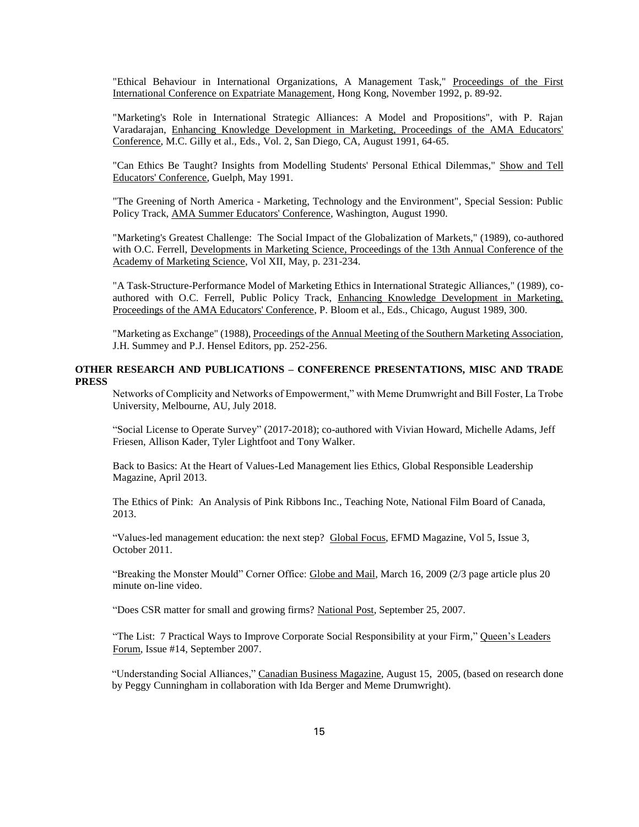"Ethical Behaviour in International Organizations, A Management Task," Proceedings of the First International Conference on Expatriate Management, Hong Kong, November 1992, p. 89-92.

"Marketing's Role in International Strategic Alliances: A Model and Propositions", with P. Rajan Varadarajan, Enhancing Knowledge Development in Marketing, Proceedings of the AMA Educators' Conference, M.C. Gilly et al., Eds., Vol. 2, San Diego, CA, August 1991, 64-65.

"Can Ethics Be Taught? Insights from Modelling Students' Personal Ethical Dilemmas," Show and Tell Educators' Conference, Guelph, May 1991.

"The Greening of North America - Marketing, Technology and the Environment", Special Session: Public Policy Track, AMA Summer Educators' Conference, Washington, August 1990.

"Marketing's Greatest Challenge: The Social Impact of the Globalization of Markets," (1989), co-authored with O.C. Ferrell, Developments in Marketing Science, Proceedings of the 13th Annual Conference of the Academy of Marketing Science, Vol XII, May, p. 231-234.

"A Task-Structure-Performance Model of Marketing Ethics in International Strategic Alliances," (1989), coauthored with O.C. Ferrell, Public Policy Track, Enhancing Knowledge Development in Marketing, Proceedings of the AMA Educators' Conference, P. Bloom et al., Eds., Chicago, August 1989, 300.

"Marketing as Exchange" (1988), Proceedings of the Annual Meeting of the Southern Marketing Association, J.H. Summey and P.J. Hensel Editors, pp. 252-256.

## **OTHER RESEARCH AND PUBLICATIONS – CONFERENCE PRESENTATIONS, MISC AND TRADE PRESS**

Networks of Complicity and Networks of Empowerment," with Meme Drumwright and Bill Foster, La Trobe University, Melbourne, AU, July 2018.

"Social License to Operate Survey" (2017-2018); co-authored with Vivian Howard, Michelle Adams, Jeff Friesen, Allison Kader, Tyler Lightfoot and Tony Walker.

Back to Basics: At the Heart of Values-Led Management lies Ethics, Global Responsible Leadership Magazine, April 2013.

The Ethics of Pink: An Analysis of Pink Ribbons Inc., Teaching Note, National Film Board of Canada, 2013.

"Values-led management education: the next step? Global Focus, EFMD Magazine, Vol 5, Issue 3, October 2011.

"Breaking the Monster Mould" Corner Office: Globe and Mail, March 16, 2009 (2/3 page article plus 20 minute on-line video.

"Does CSR matter for small and growing firms? National Post, September 25, 2007.

"The List: 7 Practical Ways to Improve Corporate Social Responsibility at your Firm," Queen's Leaders Forum, Issue #14, September 2007.

"Understanding Social Alliances," Canadian Business Magazine, August 15, 2005, (based on research done by Peggy Cunningham in collaboration with Ida Berger and Meme Drumwright).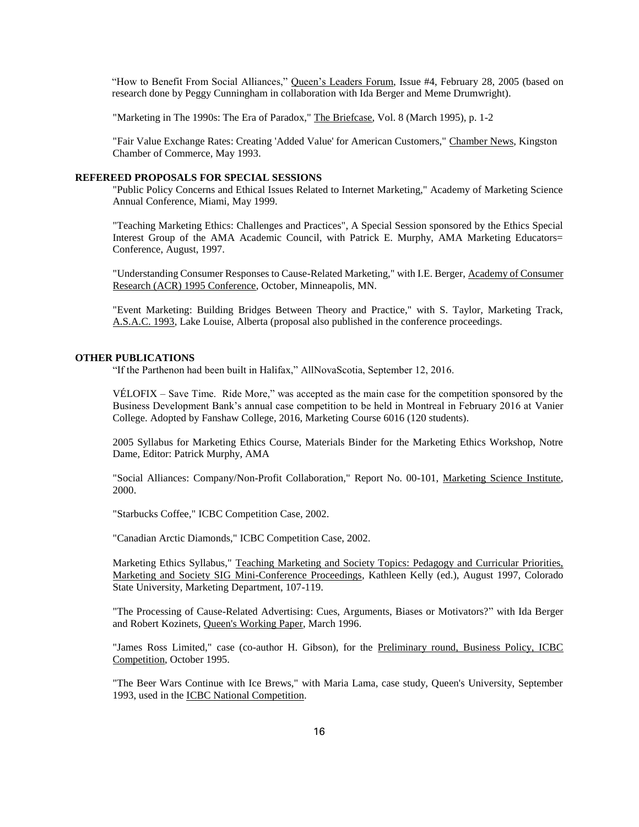"How to Benefit From Social Alliances," Queen's Leaders Forum, Issue #4, February 28, 2005 (based on research done by Peggy Cunningham in collaboration with Ida Berger and Meme Drumwright).

"Marketing in The 1990s: The Era of Paradox," The Briefcase, Vol. 8 (March 1995), p. 1-2

"Fair Value Exchange Rates: Creating 'Added Value' for American Customers," Chamber News, Kingston Chamber of Commerce, May 1993.

### **REFEREED PROPOSALS FOR SPECIAL SESSIONS**

"Public Policy Concerns and Ethical Issues Related to Internet Marketing," Academy of Marketing Science Annual Conference, Miami, May 1999.

"Teaching Marketing Ethics: Challenges and Practices", A Special Session sponsored by the Ethics Special Interest Group of the AMA Academic Council, with Patrick E. Murphy, AMA Marketing Educators= Conference, August, 1997.

"Understanding Consumer Responses to Cause-Related Marketing," with I.E. Berger, Academy of Consumer Research (ACR) 1995 Conference, October, Minneapolis, MN.

"Event Marketing: Building Bridges Between Theory and Practice," with S. Taylor, Marketing Track, A.S.A.C. 1993, Lake Louise, Alberta (proposal also published in the conference proceedings.

#### **OTHER PUBLICATIONS**

"If the Parthenon had been built in Halifax," AllNovaScotia, September 12, 2016.

VÉLOFIX – Save Time. Ride More," was accepted as the main case for the competition sponsored by the Business Development Bank's annual case competition to be held in Montreal in February 2016 at Vanier College. Adopted by Fanshaw College, 2016, Marketing Course 6016 (120 students).

2005 Syllabus for Marketing Ethics Course, Materials Binder for the Marketing Ethics Workshop, Notre Dame, Editor: Patrick Murphy, AMA

"Social Alliances: Company/Non-Profit Collaboration," Report No. 00-101, Marketing Science Institute, 2000.

"Starbucks Coffee," ICBC Competition Case, 2002.

"Canadian Arctic Diamonds," ICBC Competition Case, 2002.

Marketing Ethics Syllabus," Teaching Marketing and Society Topics: Pedagogy and Curricular Priorities, Marketing and Society SIG Mini-Conference Proceedings, Kathleen Kelly (ed.), August 1997, Colorado State University, Marketing Department, 107-119.

"The Processing of Cause-Related Advertising: Cues, Arguments, Biases or Motivators?" with Ida Berger and Robert Kozinets, Queen's Working Paper, March 1996.

"James Ross Limited," case (co-author H. Gibson), for the Preliminary round, Business Policy, ICBC Competition, October 1995.

"The Beer Wars Continue with Ice Brews," with Maria Lama, case study, Queen's University, September 1993, used in the ICBC National Competition.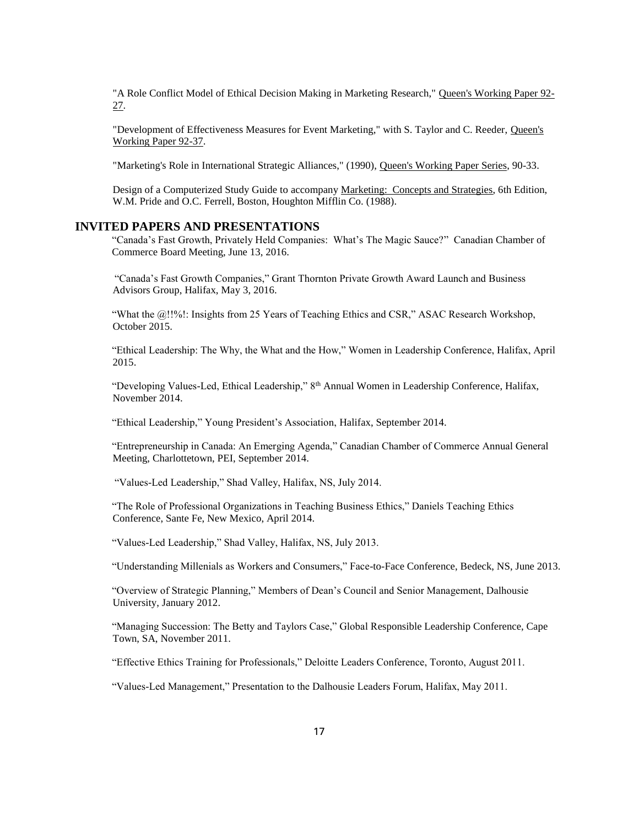"A Role Conflict Model of Ethical Decision Making in Marketing Research," Queen's Working Paper 92- 27.

"Development of Effectiveness Measures for Event Marketing," with S. Taylor and C. Reeder, Queen's Working Paper 92-37.

"Marketing's Role in International Strategic Alliances," (1990), Queen's Working Paper Series, 90-33.

Design of a Computerized Study Guide to accompany Marketing: Concepts and Strategies, 6th Edition, W.M. Pride and O.C. Ferrell, Boston, Houghton Mifflin Co. (1988).

## **INVITED PAPERS AND PRESENTATIONS**

"Canada's Fast Growth, Privately Held Companies: What's The Magic Sauce?" Canadian Chamber of Commerce Board Meeting, June 13, 2016.

"Canada's Fast Growth Companies," Grant Thornton Private Growth Award Launch and Business Advisors Group, Halifax, May 3, 2016.

"What the @!!%!: Insights from 25 Years of Teaching Ethics and CSR," ASAC Research Workshop, October 2015.

"Ethical Leadership: The Why, the What and the How," Women in Leadership Conference, Halifax, April 2015.

"Developing Values-Led, Ethical Leadership," 8th Annual Women in Leadership Conference, Halifax, November 2014.

"Ethical Leadership," Young President's Association, Halifax, September 2014.

"Entrepreneurship in Canada: An Emerging Agenda," Canadian Chamber of Commerce Annual General Meeting, Charlottetown, PEI, September 2014.

"Values-Led Leadership," Shad Valley, Halifax, NS, July 2014.

"The Role of Professional Organizations in Teaching Business Ethics," Daniels Teaching Ethics Conference, Sante Fe, New Mexico, April 2014.

"Values-Led Leadership," Shad Valley, Halifax, NS, July 2013.

"Understanding Millenials as Workers and Consumers," Face-to-Face Conference, Bedeck, NS, June 2013.

"Overview of Strategic Planning," Members of Dean's Council and Senior Management, Dalhousie University, January 2012.

"Managing Succession: The Betty and Taylors Case," Global Responsible Leadership Conference, Cape Town, SA, November 2011.

"Effective Ethics Training for Professionals," Deloitte Leaders Conference, Toronto, August 2011.

"Values-Led Management," Presentation to the Dalhousie Leaders Forum, Halifax, May 2011.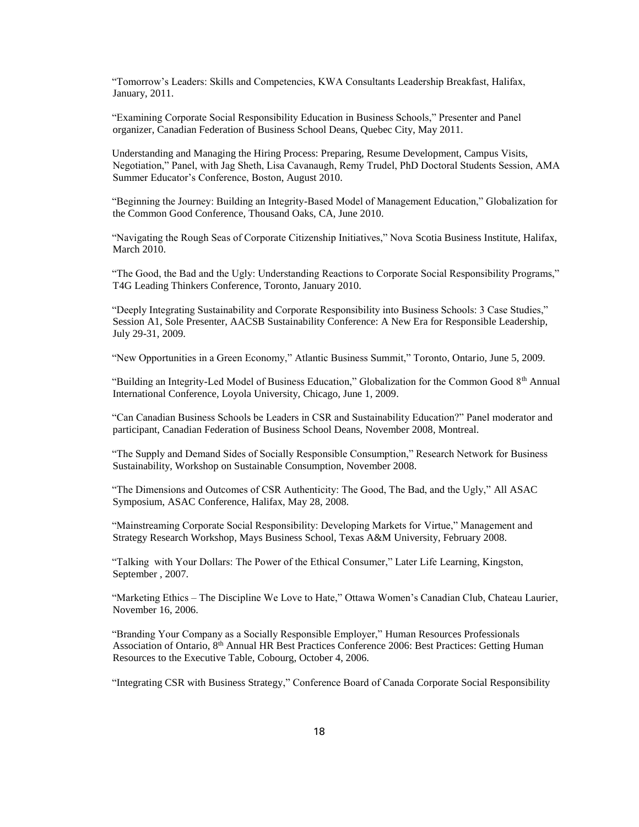"Tomorrow's Leaders: Skills and Competencies, KWA Consultants Leadership Breakfast, Halifax, January, 2011.

"Examining Corporate Social Responsibility Education in Business Schools," Presenter and Panel organizer, Canadian Federation of Business School Deans, Quebec City, May 2011.

Understanding and Managing the Hiring Process: Preparing, Resume Development, Campus Visits, Negotiation," Panel, with Jag Sheth, Lisa Cavanaugh, Remy Trudel, PhD Doctoral Students Session, AMA Summer Educator's Conference, Boston, August 2010.

"Beginning the Journey: Building an Integrity-Based Model of Management Education," Globalization for the Common Good Conference, Thousand Oaks, CA, June 2010.

"Navigating the Rough Seas of Corporate Citizenship Initiatives," Nova Scotia Business Institute, Halifax, March 2010.

"The Good, the Bad and the Ugly: Understanding Reactions to Corporate Social Responsibility Programs," T4G Leading Thinkers Conference, Toronto, January 2010.

"Deeply Integrating Sustainability and Corporate Responsibility into Business Schools: 3 Case Studies," Session A1, Sole Presenter, AACSB Sustainability Conference: A New Era for Responsible Leadership, July 29-31, 2009.

"New Opportunities in a Green Economy," Atlantic Business Summit," Toronto, Ontario, June 5, 2009.

"Building an Integrity-Led Model of Business Education," Globalization for the Common Good 8th Annual International Conference, Loyola University, Chicago, June 1, 2009.

"Can Canadian Business Schools be Leaders in CSR and Sustainability Education?" Panel moderator and participant, Canadian Federation of Business School Deans, November 2008, Montreal.

"The Supply and Demand Sides of Socially Responsible Consumption," Research Network for Business Sustainability, Workshop on Sustainable Consumption, November 2008.

"The Dimensions and Outcomes of CSR Authenticity: The Good, The Bad, and the Ugly," All ASAC Symposium, ASAC Conference, Halifax, May 28, 2008.

"Mainstreaming Corporate Social Responsibility: Developing Markets for Virtue," Management and Strategy Research Workshop, Mays Business School, Texas A&M University, February 2008.

"Talking with Your Dollars: The Power of the Ethical Consumer," Later Life Learning, Kingston, September , 2007.

"Marketing Ethics – The Discipline We Love to Hate," Ottawa Women's Canadian Club, Chateau Laurier, November 16, 2006.

"Branding Your Company as a Socially Responsible Employer," Human Resources Professionals Association of Ontario, 8th Annual HR Best Practices Conference 2006: Best Practices: Getting Human Resources to the Executive Table, Cobourg, October 4, 2006.

"Integrating CSR with Business Strategy," Conference Board of Canada Corporate Social Responsibility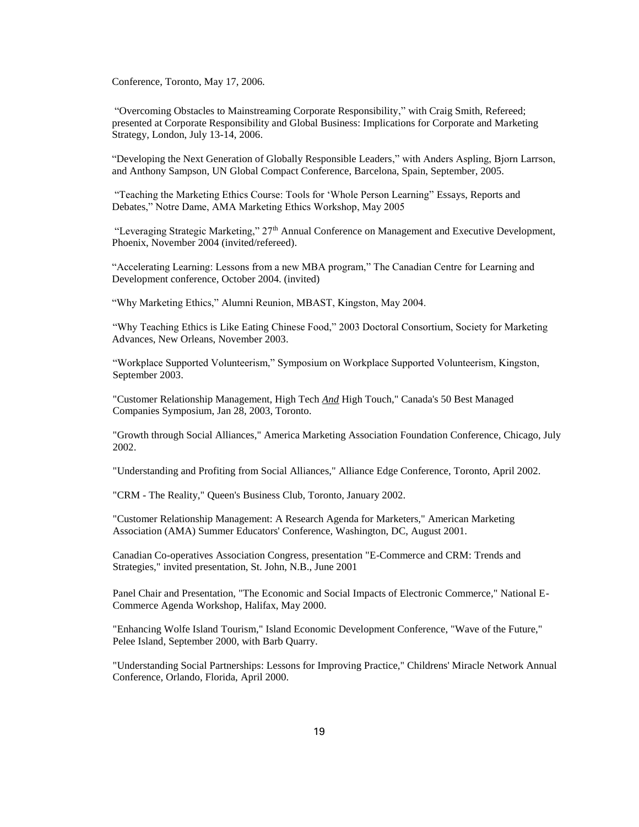Conference, Toronto, May 17, 2006.

"Overcoming Obstacles to Mainstreaming Corporate Responsibility," with Craig Smith, Refereed; presented at Corporate Responsibility and Global Business: Implications for Corporate and Marketing Strategy, London, July 13-14, 2006.

"Developing the Next Generation of Globally Responsible Leaders," with Anders Aspling, Bjorn Larrson, and Anthony Sampson, UN Global Compact Conference, Barcelona, Spain, September, 2005.

"Teaching the Marketing Ethics Course: Tools for 'Whole Person Learning" Essays, Reports and Debates," Notre Dame, AMA Marketing Ethics Workshop, May 2005

"Leveraging Strategic Marketing," 27th Annual Conference on Management and Executive Development, Phoenix, November 2004 (invited/refereed).

"Accelerating Learning: Lessons from a new MBA program," The Canadian Centre for Learning and Development conference, October 2004. (invited)

"Why Marketing Ethics," Alumni Reunion, MBAST, Kingston, May 2004.

"Why Teaching Ethics is Like Eating Chinese Food," 2003 Doctoral Consortium, Society for Marketing Advances, New Orleans, November 2003.

"Workplace Supported Volunteerism," Symposium on Workplace Supported Volunteerism, Kingston, September 2003.

"Customer Relationship Management, High Tech *And* High Touch," Canada's 50 Best Managed Companies Symposium, Jan 28, 2003, Toronto.

"Growth through Social Alliances," America Marketing Association Foundation Conference, Chicago, July 2002.

"Understanding and Profiting from Social Alliances," Alliance Edge Conference, Toronto, April 2002.

"CRM - The Reality," Queen's Business Club, Toronto, January 2002.

"Customer Relationship Management: A Research Agenda for Marketers," American Marketing Association (AMA) Summer Educators' Conference, Washington, DC, August 2001.

Canadian Co-operatives Association Congress, presentation "E-Commerce and CRM: Trends and Strategies," invited presentation, St. John, N.B., June 2001

Panel Chair and Presentation, "The Economic and Social Impacts of Electronic Commerce," National E-Commerce Agenda Workshop, Halifax, May 2000.

"Enhancing Wolfe Island Tourism," Island Economic Development Conference, "Wave of the Future," Pelee Island, September 2000, with Barb Quarry.

"Understanding Social Partnerships: Lessons for Improving Practice," Childrens' Miracle Network Annual Conference, Orlando, Florida, April 2000.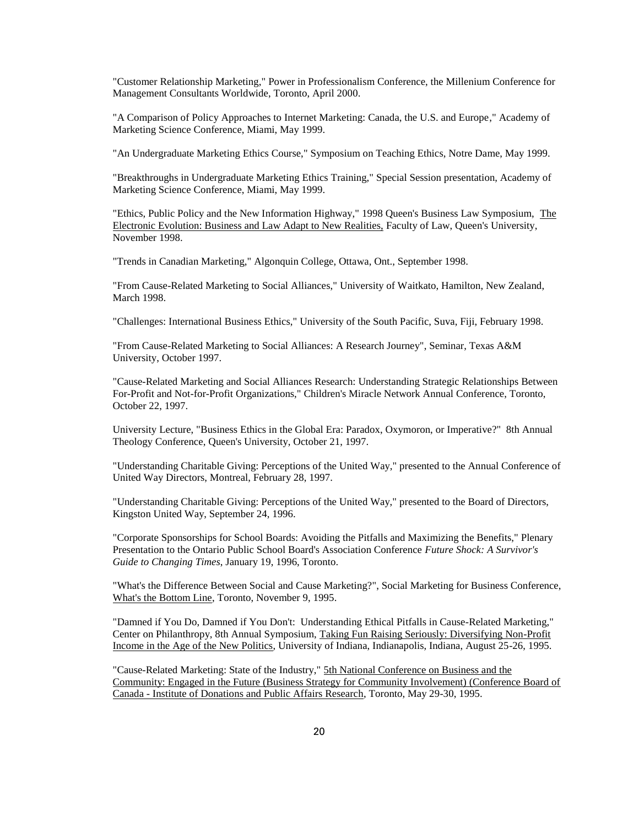"Customer Relationship Marketing," Power in Professionalism Conference, the Millenium Conference for Management Consultants Worldwide, Toronto, April 2000.

"A Comparison of Policy Approaches to Internet Marketing: Canada, the U.S. and Europe," Academy of Marketing Science Conference, Miami, May 1999.

"An Undergraduate Marketing Ethics Course," Symposium on Teaching Ethics, Notre Dame, May 1999.

"Breakthroughs in Undergraduate Marketing Ethics Training," Special Session presentation, Academy of Marketing Science Conference, Miami, May 1999.

"Ethics, Public Policy and the New Information Highway," 1998 Queen's Business Law Symposium, The Electronic Evolution: Business and Law Adapt to New Realities, Faculty of Law, Queen's University, November 1998.

"Trends in Canadian Marketing," Algonquin College, Ottawa, Ont., September 1998.

"From Cause-Related Marketing to Social Alliances," University of Waitkato, Hamilton, New Zealand, March 1998.

"Challenges: International Business Ethics," University of the South Pacific, Suva, Fiji, February 1998.

"From Cause-Related Marketing to Social Alliances: A Research Journey", Seminar, Texas A&M University, October 1997.

"Cause-Related Marketing and Social Alliances Research: Understanding Strategic Relationships Between For-Profit and Not-for-Profit Organizations," Children's Miracle Network Annual Conference, Toronto, October 22, 1997.

University Lecture, "Business Ethics in the Global Era: Paradox, Oxymoron, or Imperative?" 8th Annual Theology Conference, Queen's University, October 21, 1997.

"Understanding Charitable Giving: Perceptions of the United Way," presented to the Annual Conference of United Way Directors, Montreal, February 28, 1997.

"Understanding Charitable Giving: Perceptions of the United Way," presented to the Board of Directors, Kingston United Way, September 24, 1996.

"Corporate Sponsorships for School Boards: Avoiding the Pitfalls and Maximizing the Benefits," Plenary Presentation to the Ontario Public School Board's Association Conference *Future Shock: A Survivor's Guide to Changing Times*, January 19, 1996, Toronto.

"What's the Difference Between Social and Cause Marketing?", Social Marketing for Business Conference, What's the Bottom Line, Toronto, November 9, 1995.

"Damned if You Do, Damned if You Don't: Understanding Ethical Pitfalls in Cause-Related Marketing," Center on Philanthropy, 8th Annual Symposium, Taking Fun Raising Seriously: Diversifying Non-Profit Income in the Age of the New Politics, University of Indiana, Indianapolis, Indiana, August 25-26, 1995.

"Cause-Related Marketing: State of the Industry," 5th National Conference on Business and the Community: Engaged in the Future (Business Strategy for Community Involvement) (Conference Board of Canada - Institute of Donations and Public Affairs Research, Toronto, May 29-30, 1995.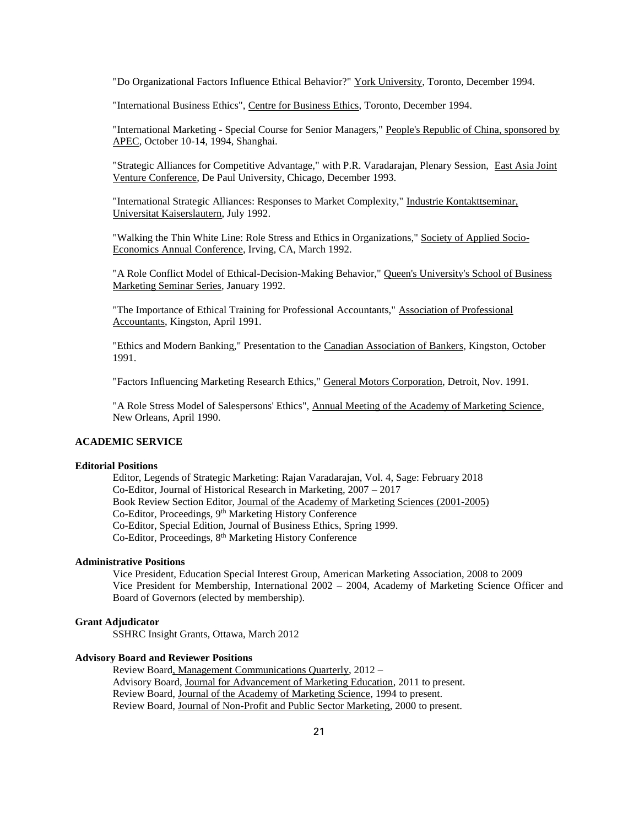"Do Organizational Factors Influence Ethical Behavior?" York University, Toronto, December 1994.

"International Business Ethics", Centre for Business Ethics, Toronto, December 1994.

"International Marketing - Special Course for Senior Managers," People's Republic of China, sponsored by APEC, October 10-14, 1994, Shanghai.

"Strategic Alliances for Competitive Advantage," with P.R. Varadarajan, Plenary Session, East Asia Joint Venture Conference, De Paul University, Chicago, December 1993.

"International Strategic Alliances: Responses to Market Complexity," Industrie Kontakttseminar, Universitat Kaiserslautern, July 1992.

"Walking the Thin White Line: Role Stress and Ethics in Organizations," Society of Applied Socio-Economics Annual Conference, Irving, CA, March 1992.

"A Role Conflict Model of Ethical-Decision-Making Behavior," Queen's University's School of Business Marketing Seminar Series, January 1992.

"The Importance of Ethical Training for Professional Accountants," Association of Professional Accountants, Kingston, April 1991.

"Ethics and Modern Banking," Presentation to the Canadian Association of Bankers, Kingston, October 1991.

"Factors Influencing Marketing Research Ethics," General Motors Corporation, Detroit, Nov. 1991.

"A Role Stress Model of Salespersons' Ethics", Annual Meeting of the Academy of Marketing Science, New Orleans, April 1990.

## **ACADEMIC SERVICE**

#### **Editorial Positions**

Editor, Legends of Strategic Marketing: Rajan Varadarajan, Vol. 4, Sage: February 2018 Co-Editor, Journal of Historical Research in Marketing, 2007 – 2017 Book Review Section Editor, Journal of the Academy of Marketing Sciences (2001-2005) Co-Editor, Proceedings, 9<sup>th</sup> Marketing History Conference Co-Editor, Special Edition, Journal of Business Ethics, Spring 1999. Co-Editor, Proceedings, 8th Marketing History Conference

### **Administrative Positions**

Vice President, Education Special Interest Group, American Marketing Association, 2008 to 2009 Vice President for Membership, International 2002 – 2004, Academy of Marketing Science Officer and Board of Governors (elected by membership).

### **Grant Adjudicator**

SSHRC Insight Grants, Ottawa, March 2012

#### **Advisory Board and Reviewer Positions**

Review Board, Management Communications Quarterly, 2012 – Advisory Board, Journal for Advancement of Marketing Education, 2011 to present. Review Board, Journal of the Academy of Marketing Science, 1994 to present. Review Board, Journal of Non-Profit and Public Sector Marketing, 2000 to present.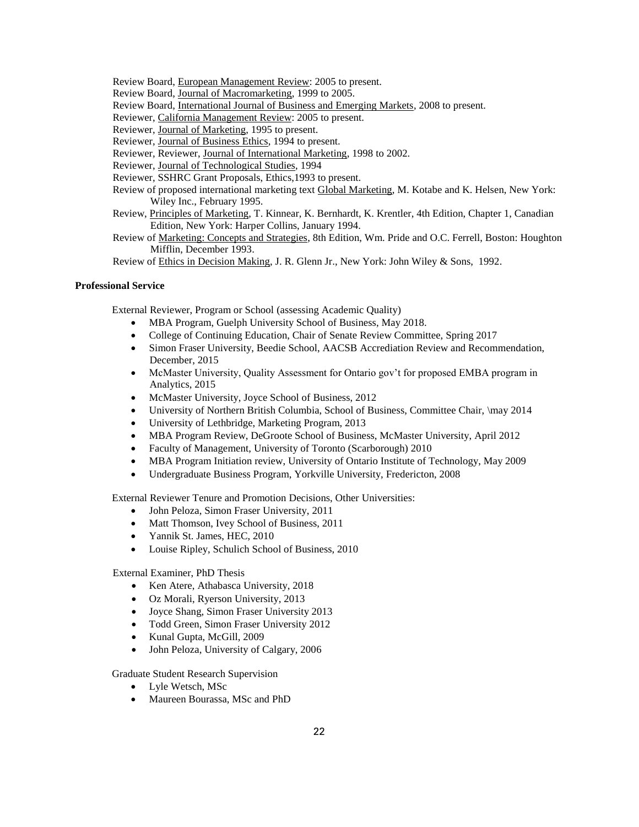- Review Board, European Management Review: 2005 to present.
- Review Board, Journal of Macromarketing, 1999 to 2005.
- Review Board, International Journal of Business and Emerging Markets, 2008 to present.
- Reviewer, California Management Review: 2005 to present.
- Reviewer, Journal of Marketing, 1995 to present.
- Reviewer, Journal of Business Ethics, 1994 to present.
- Reviewer, Reviewer, Journal of International Marketing, 1998 to 2002.
- Reviewer, Journal of Technological Studies, 1994
- Reviewer, SSHRC Grant Proposals, Ethics,1993 to present.
- Review of proposed international marketing text Global Marketing, M. Kotabe and K. Helsen, New York: Wiley Inc., February 1995.
- Review, Principles of Marketing, T. Kinnear, K. Bernhardt, K. Krentler, 4th Edition, Chapter 1, Canadian Edition, New York: Harper Collins, January 1994.
- Review of Marketing: Concepts and Strategies, 8th Edition, Wm. Pride and O.C. Ferrell, Boston: Houghton Mifflin, December 1993.
- Review of Ethics in Decision Making, J. R. Glenn Jr., New York: John Wiley & Sons, 1992.

### **Professional Service**

External Reviewer, Program or School (assessing Academic Quality)

- MBA Program, Guelph University School of Business, May 2018.
- College of Continuing Education, Chair of Senate Review Committee, Spring 2017
- Simon Fraser University, Beedie School, AACSB Accrediation Review and Recommendation, December, 2015
- McMaster University, Quality Assessment for Ontario gov't for proposed EMBA program in Analytics, 2015
- McMaster University, Joyce School of Business, 2012
- University of Northern British Columbia, School of Business, Committee Chair, \may 2014
- University of Lethbridge, Marketing Program, 2013
- MBA Program Review, DeGroote School of Business, McMaster University, April 2012
- Faculty of Management, University of Toronto (Scarborough) 2010
- MBA Program Initiation review, University of Ontario Institute of Technology, May 2009
- Undergraduate Business Program, Yorkville University, Fredericton, 2008

External Reviewer Tenure and Promotion Decisions, Other Universities:

- John Peloza, Simon Fraser University, 2011
- Matt Thomson, Ivey School of Business, 2011
- Yannik St. James, HEC, 2010
- Louise Ripley, Schulich School of Business, 2010

External Examiner, PhD Thesis

- Ken Atere, Athabasca University, 2018
- Oz Morali, Ryerson University, 2013
- Joyce Shang, Simon Fraser University 2013
- Todd Green, Simon Fraser University 2012
- Kunal Gupta, McGill, 2009
- John Peloza, University of Calgary, 2006

Graduate Student Research Supervision

- Lyle Wetsch, MSc
- Maureen Bourassa, MSc and PhD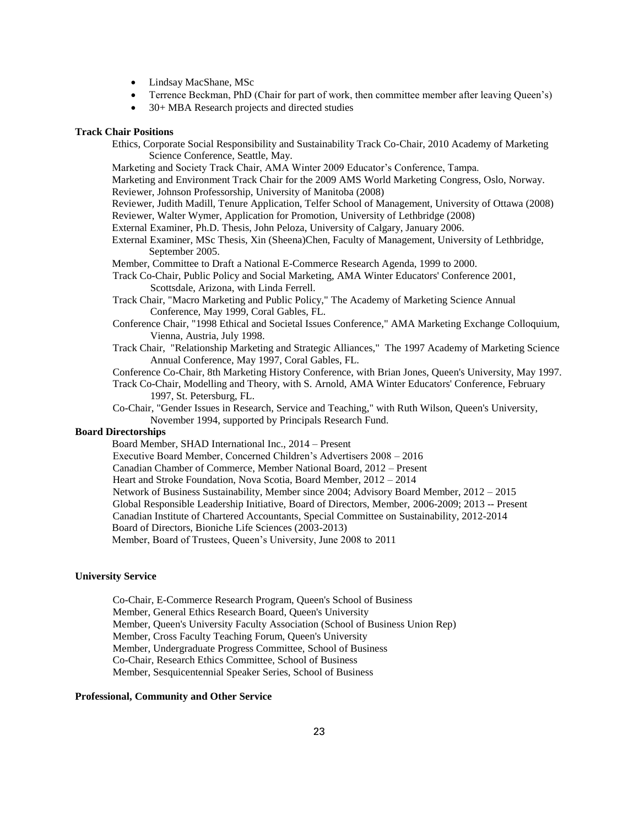- Lindsay MacShane, MSc
- Terrence Beckman, PhD (Chair for part of work, then committee member after leaving Queen's)
- 30+ MBA Research projects and directed studies

#### **Track Chair Positions**

- Ethics, Corporate Social Responsibility and Sustainability Track Co-Chair, 2010 Academy of Marketing Science Conference, Seattle, May.
- Marketing and Society Track Chair, AMA Winter 2009 Educator's Conference, Tampa.
- Marketing and Environment Track Chair for the 2009 AMS World Marketing Congress, Oslo, Norway. Reviewer, Johnson Professorship, University of Manitoba (2008)
- Reviewer, Judith Madill, Tenure Application, Telfer School of Management, University of Ottawa (2008) Reviewer, Walter Wymer, Application for Promotion, University of Lethbridge (2008)
- External Examiner, Ph.D. Thesis, John Peloza, University of Calgary, January 2006.
- External Examiner, MSc Thesis, Xin (Sheena)Chen, Faculty of Management, University of Lethbridge, September 2005.
- Member, Committee to Draft a National E-Commerce Research Agenda, 1999 to 2000.
- Track Co-Chair, Public Policy and Social Marketing, AMA Winter Educators' Conference 2001, Scottsdale, Arizona, with Linda Ferrell.
- Track Chair, "Macro Marketing and Public Policy," The Academy of Marketing Science Annual Conference, May 1999, Coral Gables, FL.
- Conference Chair, "1998 Ethical and Societal Issues Conference," AMA Marketing Exchange Colloquium, Vienna, Austria, July 1998.
- Track Chair, "Relationship Marketing and Strategic Alliances," The 1997 Academy of Marketing Science Annual Conference, May 1997, Coral Gables, FL.
- Conference Co-Chair, 8th Marketing History Conference, with Brian Jones, Queen's University, May 1997.
- Track Co-Chair, Modelling and Theory, with S. Arnold, AMA Winter Educators' Conference, February 1997, St. Petersburg, FL.
- Co-Chair, "Gender Issues in Research, Service and Teaching," with Ruth Wilson, Queen's University, November 1994, supported by Principals Research Fund.

### **Board Directorships**

Board Member, SHAD International Inc., 2014 – Present Executive Board Member, Concerned Children's Advertisers 2008 – 2016 Canadian Chamber of Commerce, Member National Board, 2012 – Present Heart and Stroke Foundation, Nova Scotia, Board Member, 2012 – 2014 Network of Business Sustainability, Member since 2004; Advisory Board Member, 2012 – 2015 Global Responsible Leadership Initiative, Board of Directors, Member, 2006-2009; 2013 -- Present Canadian Institute of Chartered Accountants, Special Committee on Sustainability, 2012-2014

Board of Directors, Bioniche Life Sciences (2003-2013)

Member, Board of Trustees, Queen's University, June 2008 to 2011

#### **University Service**

Co-Chair, E-Commerce Research Program, Queen's School of Business Member, General Ethics Research Board, Queen's University Member, Queen's University Faculty Association (School of Business Union Rep) Member, Cross Faculty Teaching Forum, Queen's University Member, Undergraduate Progress Committee, School of Business Co-Chair, Research Ethics Committee, School of Business Member, Sesquicentennial Speaker Series, School of Business

### **Professional, Community and Other Service**